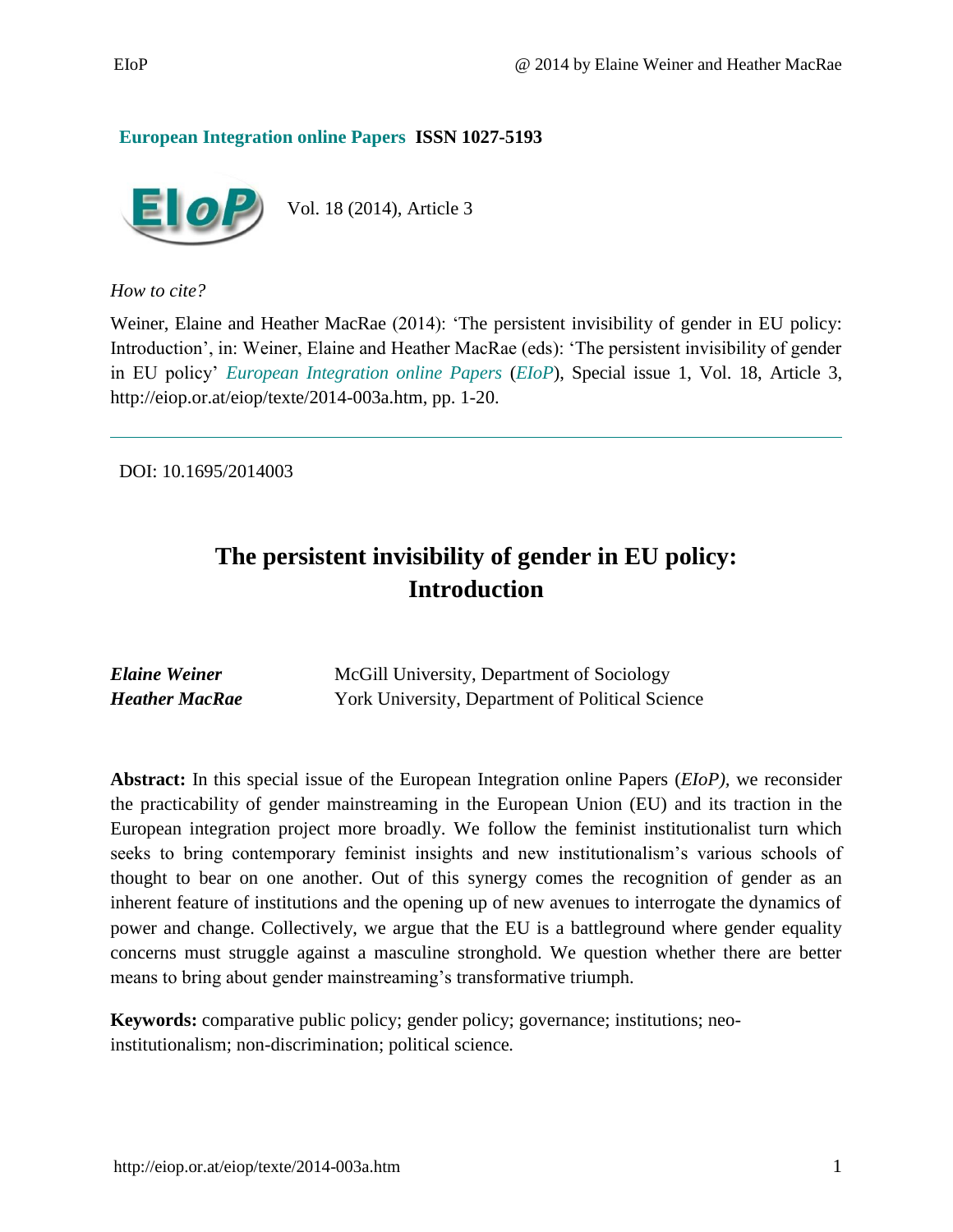#### **European Integration online Papers ISSN 1027-5193**



*How to cite?*

Weiner, Elaine and Heather MacRae (2014): 'The persistent invisibility of gender in EU policy: Introduction', in: Weiner, Elaine and Heather MacRae (eds): 'The persistent invisibility of gender in EU policy' *European Integration online Papers* (*EIoP*), Special issue 1, Vol. 18, Article 3, [http://eiop.or.at/eiop/texte/2014-003a.htm,](http://eiop.or.at/eiop/texte/2014-003a.htm) pp. 1-20.

DOI: 10.1695/2014003

# **The persistent invisibility of gender in EU policy: Introduction**

| <b>Elaine Weiner</b> | McGill University, Department of Sociology              |
|----------------------|---------------------------------------------------------|
| Heather MacRae       | <b>York University, Department of Political Science</b> |

**Abstract:** In this special issue of the European Integration online Papers (*EIoP),* we reconsider the practicability of gender mainstreaming in the European Union (EU) and its traction in the European integration project more broadly. We follow the feminist institutionalist turn which seeks to bring contemporary feminist insights and new institutionalism's various schools of thought to bear on one another. Out of this synergy comes the recognition of gender as an inherent feature of institutions and the opening up of new avenues to interrogate the dynamics of power and change. Collectively, we argue that the EU is a battleground where gender equality concerns must struggle against a masculine stronghold. We question whether there are better means to bring about gender mainstreaming's transformative triumph.

**Keywords:** comparative public policy; gender policy; governance; institutions; neoinstitutionalism; non-discrimination; political science*.*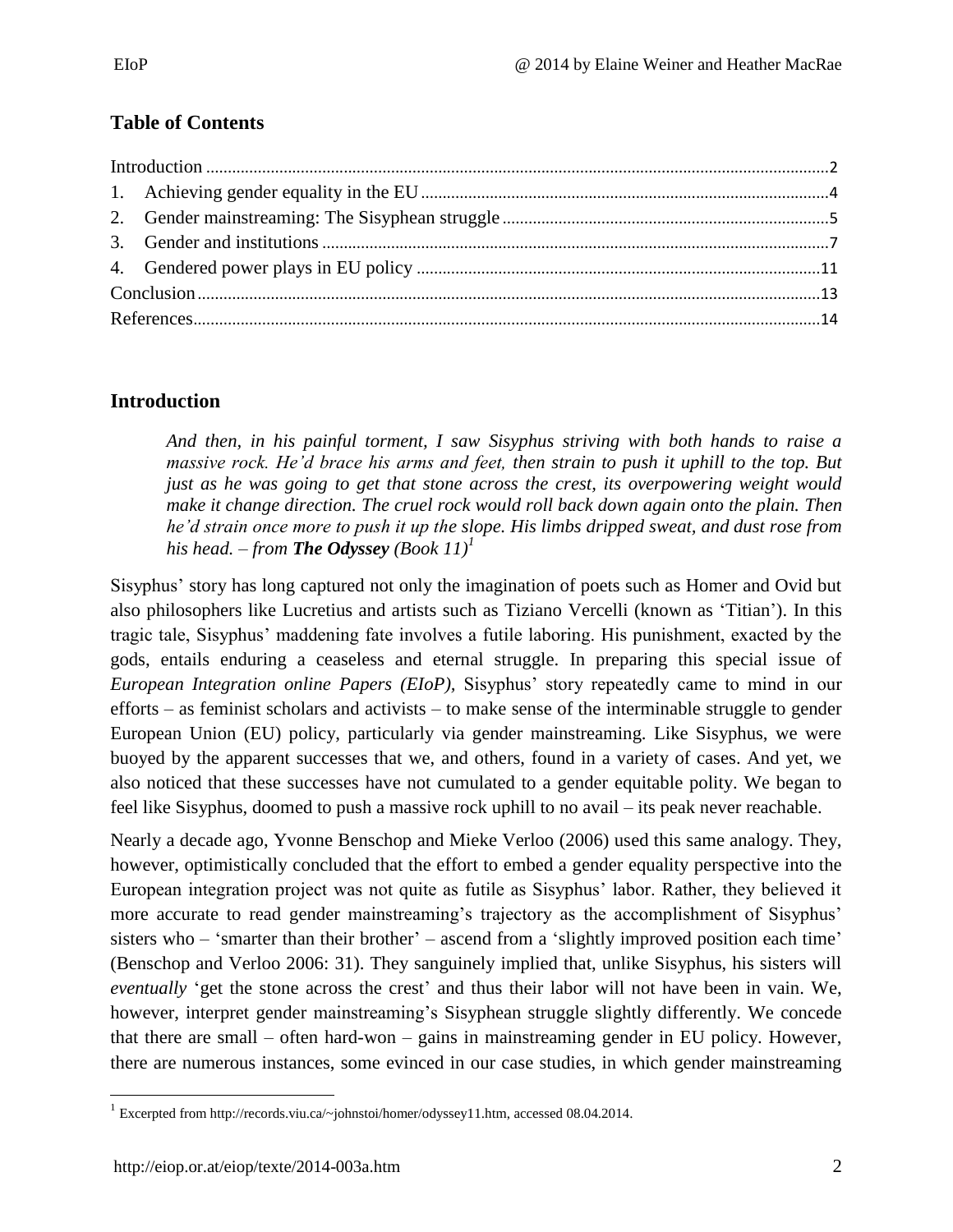### **Table of Contents**

### <span id="page-1-0"></span>**Introduction**

*And then, in his painful torment, I saw Sisyphus striving with both hands to raise a massive rock. He'd brace his arms and feet, then strain to push it uphill to the top. But just as he was going to get that stone across the crest, its overpowering weight would make it change direction. The cruel rock would roll back down again onto the plain. Then he'd strain once more to push it up the slope. His limbs dripped sweat, and dust rose from his head.* – *from The Odyssey (Book 11)<sup><i>1*</sup>

Sisyphus' story has long captured not only the imagination of poets such as Homer and Ovid but also philosophers like Lucretius and artists such as Tiziano Vercelli (known as 'Titian'). In this tragic tale, Sisyphus' maddening fate involves a futile laboring. His punishment, exacted by the gods, entails enduring a ceaseless and eternal struggle. In preparing this special issue of *European Integration online Papers (EIoP),* Sisyphus' story repeatedly came to mind in our efforts – as feminist scholars and activists – to make sense of the interminable struggle to gender European Union (EU) policy, particularly via gender mainstreaming. Like Sisyphus, we were buoyed by the apparent successes that we, and others, found in a variety of cases. And yet, we also noticed that these successes have not cumulated to a gender equitable polity. We began to feel like Sisyphus, doomed to push a massive rock uphill to no avail – its peak never reachable.

Nearly a decade ago, Yvonne Benschop and Mieke Verloo (2006) used this same analogy. They, however, optimistically concluded that the effort to embed a gender equality perspective into the European integration project was not quite as futile as Sisyphus' labor. Rather, they believed it more accurate to read gender mainstreaming's trajectory as the accomplishment of Sisyphus' sisters who – 'smarter than their brother' – ascend from a 'slightly improved position each time' (Benschop and Verloo 2006: 31). They sanguinely implied that, unlike Sisyphus, his sisters will *eventually* 'get the stone across the crest' and thus their labor will not have been in vain. We, however, interpret gender mainstreaming's Sisyphean struggle slightly differently. We concede that there are small – often hard-won – gains in mainstreaming gender in EU policy. However, there are numerous instances, some evinced in our case studies, in which gender mainstreaming

 $\overline{\phantom{a}}$ <sup>1</sup> Excerpted from [http://records.viu.ca/~johnstoi/homer/odyssey11.htm,](http://records.viu.ca/~johnstoi/homer/odyssey11.htm) accessed 08.04.2014.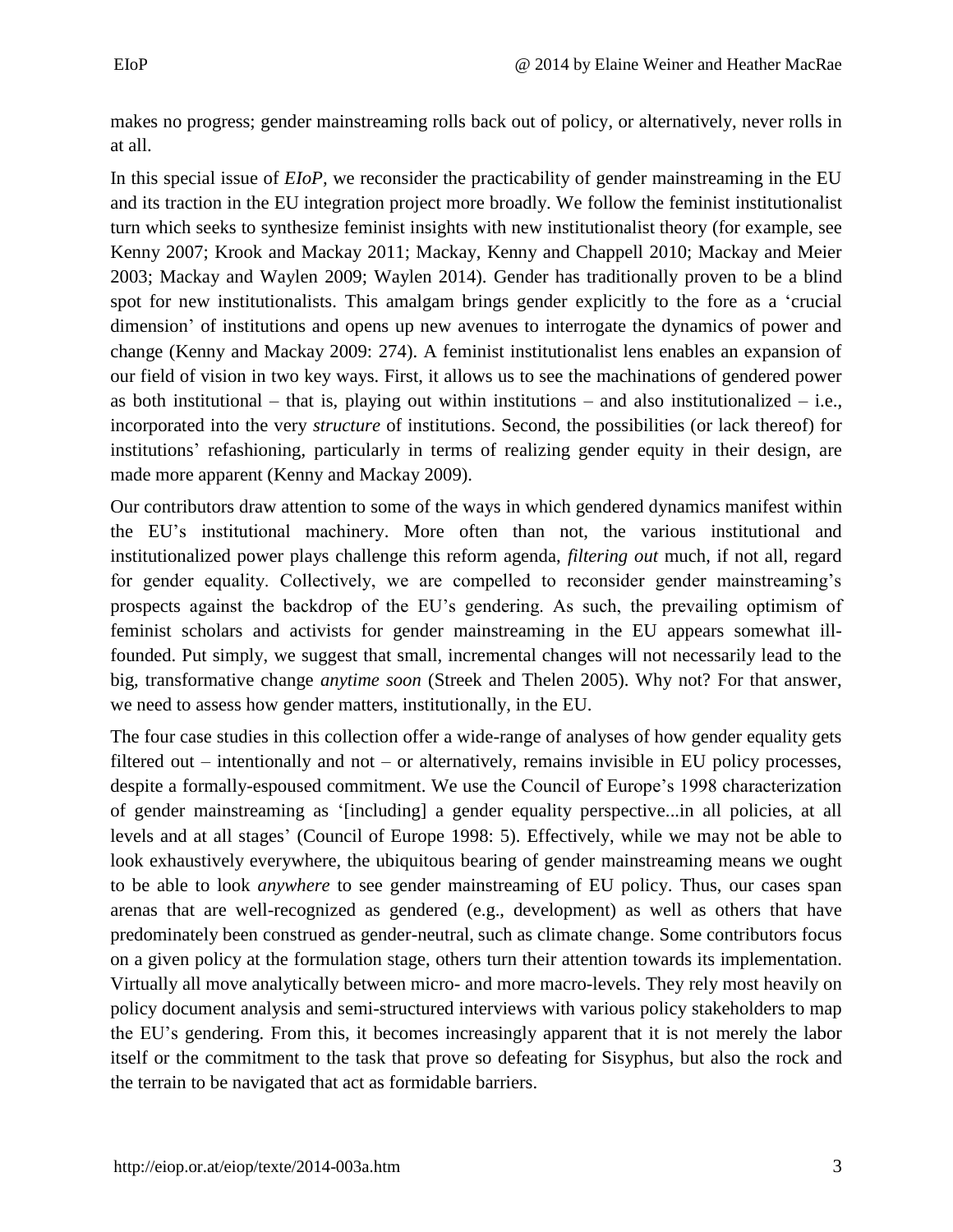makes no progress; gender mainstreaming rolls back out of policy, or alternatively, never rolls in at all.

In this special issue of *EIoP,* we reconsider the practicability of gender mainstreaming in the EU and its traction in the EU integration project more broadly. We follow the feminist institutionalist turn which seeks to synthesize feminist insights with new institutionalist theory (for example, see Kenny 2007; Krook and Mackay 2011; Mackay, Kenny and Chappell 2010; Mackay and Meier 2003; Mackay and Waylen 2009; Waylen 2014). Gender has traditionally proven to be a blind spot for new institutionalists. This amalgam brings gender explicitly to the fore as a 'crucial dimension' of institutions and opens up new avenues to interrogate the dynamics of power and change (Kenny and Mackay 2009: 274). A feminist institutionalist lens enables an expansion of our field of vision in two key ways. First, it allows us to see the machinations of gendered power as both institutional – that is, playing out within institutions – and also institutionalized – i.e., incorporated into the very *structure* of institutions. Second, the possibilities (or lack thereof) for institutions' refashioning, particularly in terms of realizing gender equity in their design, are made more apparent (Kenny and Mackay 2009).

Our contributors draw attention to some of the ways in which gendered dynamics manifest within the EU's institutional machinery. More often than not, the various institutional and institutionalized power plays challenge this reform agenda, *filtering out* much, if not all, regard for gender equality. Collectively, we are compelled to reconsider gender mainstreaming's prospects against the backdrop of the EU's gendering. As such, the prevailing optimism of feminist scholars and activists for gender mainstreaming in the EU appears somewhat illfounded. Put simply, we suggest that small, incremental changes will not necessarily lead to the big, transformative change *anytime soon* (Streek and Thelen 2005). Why not? For that answer, we need to assess how gender matters, institutionally, in the EU.

The four case studies in this collection offer a wide-range of analyses of how gender equality gets filtered out – intentionally and not – or alternatively, remains invisible in EU policy processes, despite a formally-espoused commitment. We use the Council of Europe's 1998 characterization of gender mainstreaming as '[including] a gender equality perspective...in all policies, at all levels and at all stages' (Council of Europe 1998: 5). Effectively, while we may not be able to look exhaustively everywhere, the ubiquitous bearing of gender mainstreaming means we ought to be able to look *anywhere* to see gender mainstreaming of EU policy. Thus, our cases span arenas that are well-recognized as gendered (e.g., development) as well as others that have predominately been construed as gender-neutral, such as climate change. Some contributors focus on a given policy at the formulation stage, others turn their attention towards its implementation. Virtually all move analytically between micro- and more macro-levels. They rely most heavily on policy document analysis and semi-structured interviews with various policy stakeholders to map the EU's gendering. From this, it becomes increasingly apparent that it is not merely the labor itself or the commitment to the task that prove so defeating for Sisyphus, but also the rock and the terrain to be navigated that act as formidable barriers.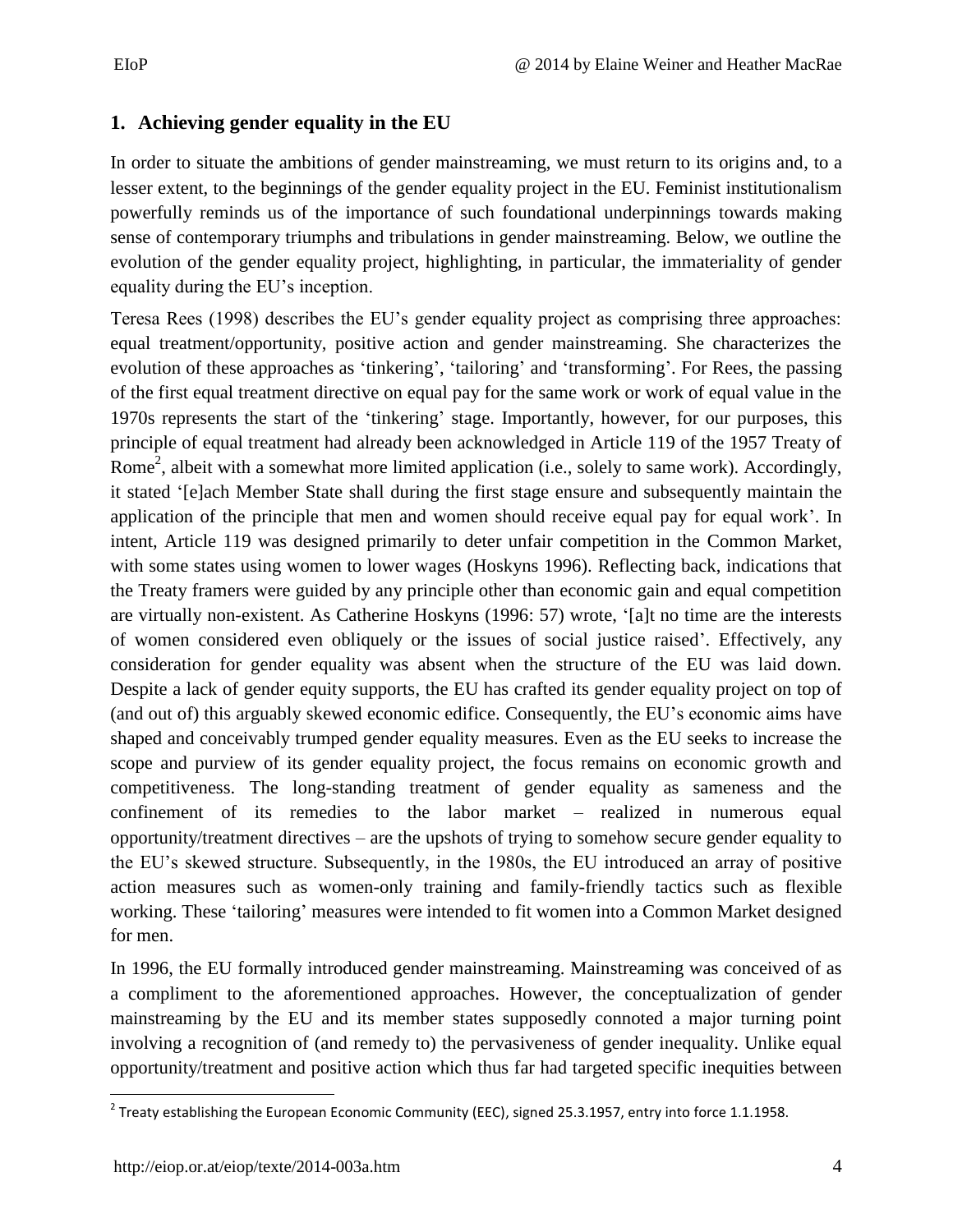### <span id="page-3-0"></span>**1. Achieving gender equality in the EU**

In order to situate the ambitions of gender mainstreaming, we must return to its origins and, to a lesser extent, to the beginnings of the gender equality project in the EU. Feminist institutionalism powerfully reminds us of the importance of such foundational underpinnings towards making sense of contemporary triumphs and tribulations in gender mainstreaming. Below, we outline the evolution of the gender equality project, highlighting, in particular, the immateriality of gender equality during the EU's inception.

Teresa Rees (1998) describes the EU's gender equality project as comprising three approaches: equal treatment/opportunity, positive action and gender mainstreaming. She characterizes the evolution of these approaches as 'tinkering', 'tailoring' and 'transforming'. For Rees, the passing of the first equal treatment directive on equal pay for the same work or work of equal value in the 1970s represents the start of the 'tinkering' stage. Importantly, however, for our purposes, this principle of equal treatment had already been acknowledged in Article 119 of the 1957 Treaty of Rome<sup>2</sup>, albeit with a somewhat more limited application (i.e., solely to same work). Accordingly, it stated '[e]ach Member State shall during the first stage ensure and subsequently maintain the application of the principle that men and women should receive equal pay for equal work'. In intent, Article 119 was designed primarily to deter unfair competition in the Common Market, with some states using women to lower wages (Hoskyns 1996). Reflecting back, indications that the Treaty framers were guided by any principle other than economic gain and equal competition are virtually non-existent. As Catherine Hoskyns (1996: 57) wrote, '[a]t no time are the interests of women considered even obliquely or the issues of social justice raised'. Effectively, any consideration for gender equality was absent when the structure of the EU was laid down. Despite a lack of gender equity supports, the EU has crafted its gender equality project on top of (and out of) this arguably skewed economic edifice. Consequently, the EU's economic aims have shaped and conceivably trumped gender equality measures. Even as the EU seeks to increase the scope and purview of its gender equality project, the focus remains on economic growth and competitiveness. The long-standing treatment of gender equality as sameness and the confinement of its remedies to the labor market – realized in numerous equal opportunity/treatment directives – are the upshots of trying to somehow secure gender equality to the EU's skewed structure. Subsequently, in the 1980s, the EU introduced an array of positive action measures such as women-only training and family-friendly tactics such as flexible working. These 'tailoring' measures were intended to fit women into a Common Market designed for men.

In 1996, the EU formally introduced gender mainstreaming. Mainstreaming was conceived of as a compliment to the aforementioned approaches. However, the conceptualization of gender mainstreaming by the EU and its member states supposedly connoted a major turning point involving a recognition of (and remedy to) the pervasiveness of gender inequality. Unlike equal opportunity/treatment and positive action which thus far had targeted specific inequities between

 2 Treaty establishing the European Economic Community (EEC), signed 25.3.1957, entry into force 1.1.1958.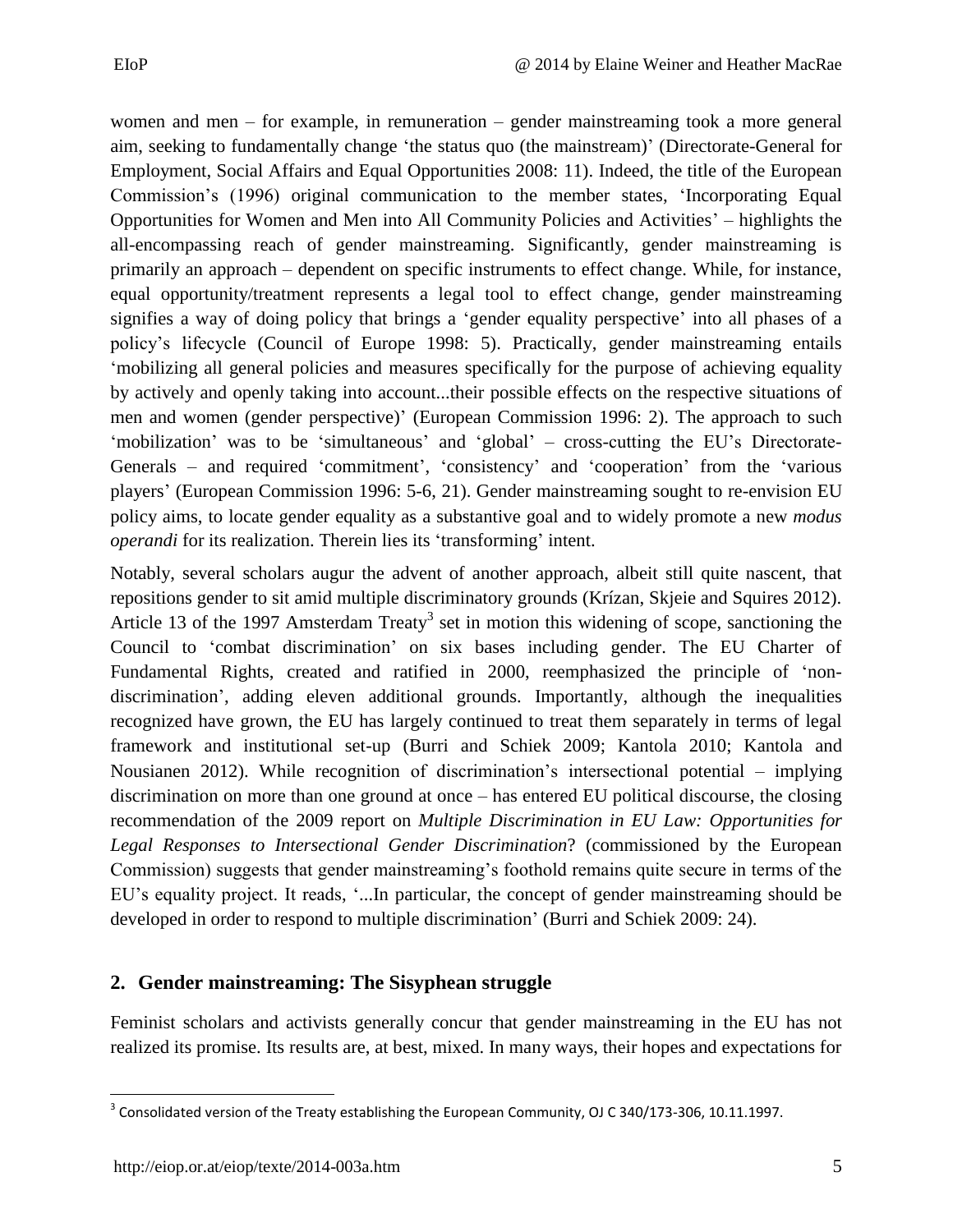women and men – for example, in remuneration – gender mainstreaming took a more general aim, seeking to fundamentally change 'the status quo (the mainstream)' (Directorate-General for Employment, Social Affairs and Equal Opportunities 2008: 11). Indeed, the title of the European Commission's (1996) original communication to the member states, 'Incorporating Equal Opportunities for Women and Men into All Community Policies and Activities' – highlights the all-encompassing reach of gender mainstreaming. Significantly, gender mainstreaming is primarily an approach – dependent on specific instruments to effect change. While, for instance, equal opportunity/treatment represents a legal tool to effect change, gender mainstreaming signifies a way of doing policy that brings a 'gender equality perspective' into all phases of a policy's lifecycle (Council of Europe 1998: 5). Practically, gender mainstreaming entails 'mobilizing all general policies and measures specifically for the purpose of achieving equality by actively and openly taking into account...their possible effects on the respective situations of men and women (gender perspective)' (European Commission 1996: 2). The approach to such 'mobilization' was to be 'simultaneous' and 'global' – cross-cutting the EU's Directorate-Generals – and required 'commitment', 'consistency' and 'cooperation' from the 'various players' (European Commission 1996: 5-6, 21). Gender mainstreaming sought to re-envision EU policy aims, to locate gender equality as a substantive goal and to widely promote a new *modus operandi* for its realization. Therein lies its 'transforming' intent.

Notably, several scholars augur the advent of another approach, albeit still quite nascent, that repositions gender to sit amid multiple discriminatory grounds (Krízan, Skjeie and Squires 2012). Article 13 of the 1997 Amsterdam Treaty<sup>3</sup> set in motion this widening of scope, sanctioning the Council to 'combat discrimination' on six bases including gender. The EU Charter of Fundamental Rights, created and ratified in 2000, reemphasized the principle of 'nondiscrimination', adding eleven additional grounds. Importantly, although the inequalities recognized have grown, the EU has largely continued to treat them separately in terms of legal framework and institutional set-up (Burri and Schiek 2009; Kantola 2010; Kantola and Nousianen 2012). While recognition of discrimination's intersectional potential – implying discrimination on more than one ground at once – has entered EU political discourse, the closing recommendation of the 2009 report on *Multiple Discrimination in EU Law: Opportunities for Legal Responses to Intersectional Gender Discrimination*? (commissioned by the European Commission) suggests that gender mainstreaming's foothold remains quite secure in terms of the EU's equality project. It reads, '...In particular, the concept of gender mainstreaming should be developed in order to respond to multiple discrimination' (Burri and Schiek 2009: 24).

## <span id="page-4-0"></span>**2. Gender mainstreaming: The Sisyphean struggle**

Feminist scholars and activists generally concur that gender mainstreaming in the EU has not realized its promise. Its results are, at best, mixed. In many ways, their hopes and expectations for

 $\overline{\phantom{a}}$  $^3$  Consolidated version of the Treaty establishing the European Community, OJ C 340/173-306, 10.11.1997.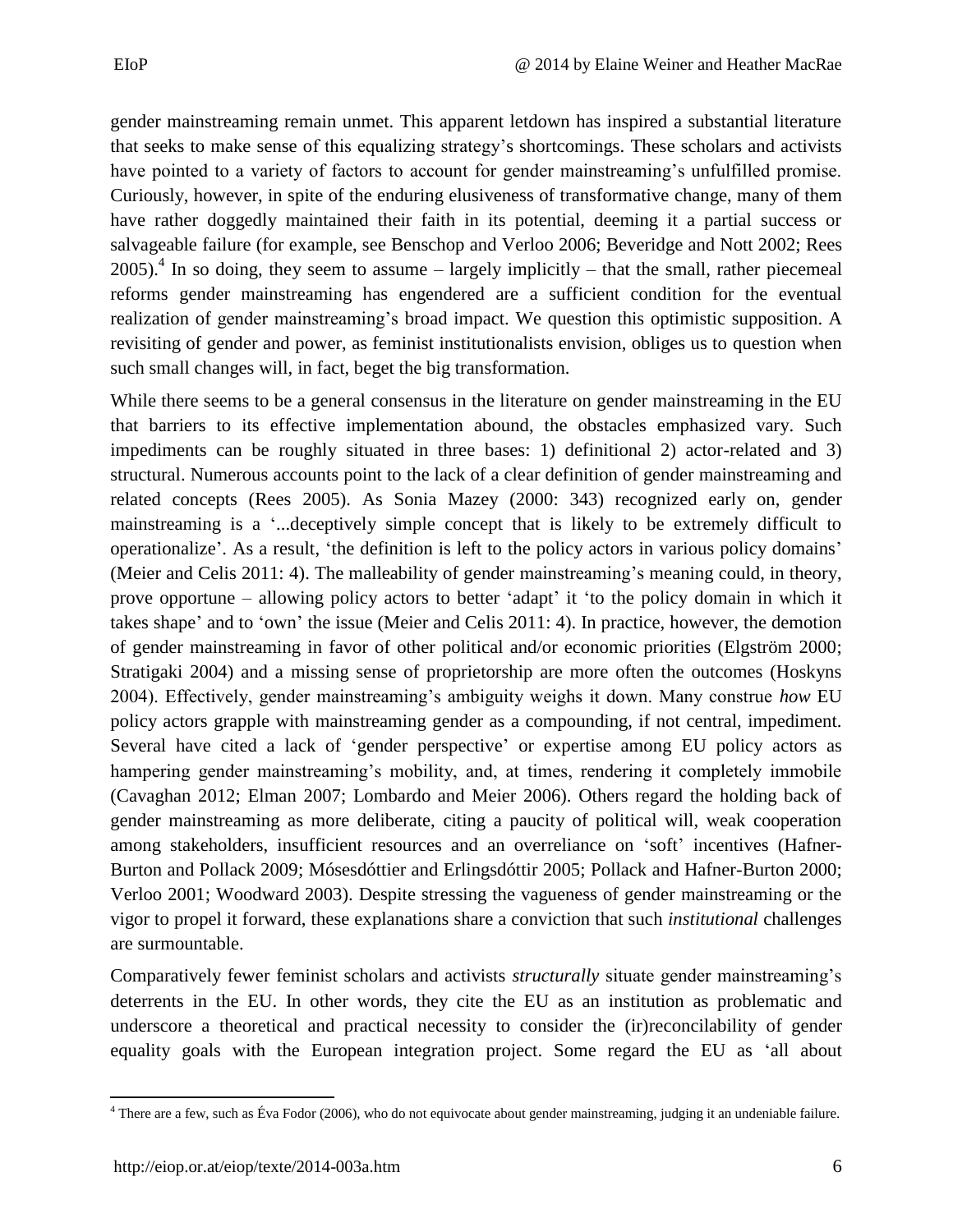gender mainstreaming remain unmet. This apparent letdown has inspired a substantial literature that seeks to make sense of this equalizing strategy's shortcomings. These scholars and activists have pointed to a variety of factors to account for gender mainstreaming's unfulfilled promise. Curiously, however, in spite of the enduring elusiveness of transformative change, many of them have rather doggedly maintained their faith in its potential, deeming it a partial success or salvageable failure (for example, see Benschop and Verloo 2006; Beveridge and Nott 2002; Rees 2005).<sup>4</sup> In so doing, they seem to assume – largely implicitly – that the small, rather piecemeal reforms gender mainstreaming has engendered are a sufficient condition for the eventual realization of gender mainstreaming's broad impact. We question this optimistic supposition. A revisiting of gender and power, as feminist institutionalists envision, obliges us to question when such small changes will, in fact, beget the big transformation.

While there seems to be a general consensus in the literature on gender mainstreaming in the EU that barriers to its effective implementation abound, the obstacles emphasized vary. Such impediments can be roughly situated in three bases: 1) definitional 2) actor-related and 3) structural. Numerous accounts point to the lack of a clear definition of gender mainstreaming and related concepts (Rees 2005). As Sonia Mazey (2000: 343) recognized early on, gender mainstreaming is a '...deceptively simple concept that is likely to be extremely difficult to operationalize'. As a result, 'the definition is left to the policy actors in various policy domains' (Meier and Celis 2011: 4). The malleability of gender mainstreaming's meaning could, in theory, prove opportune – allowing policy actors to better 'adapt' it 'to the policy domain in which it takes shape' and to 'own' the issue (Meier and Celis 2011: 4). In practice, however, the demotion of gender mainstreaming in favor of other political and/or economic priorities (Elgström 2000; Stratigaki 2004) and a missing sense of proprietorship are more often the outcomes (Hoskyns 2004). Effectively, gender mainstreaming's ambiguity weighs it down. Many construe *how* EU policy actors grapple with mainstreaming gender as a compounding, if not central, impediment. Several have cited a lack of 'gender perspective' or expertise among EU policy actors as hampering gender mainstreaming's mobility, and, at times, rendering it completely immobile (Cavaghan 2012; Elman 2007; Lombardo and Meier 2006). Others regard the holding back of gender mainstreaming as more deliberate, citing a paucity of political will, weak cooperation among stakeholders, insufficient resources and an overreliance on 'soft' incentives (Hafner-Burton and Pollack 2009; Mósesdóttier and Erlingsdóttir 2005; Pollack and Hafner-Burton 2000; Verloo 2001; Woodward 2003). Despite stressing the vagueness of gender mainstreaming or the vigor to propel it forward, these explanations share a conviction that such *institutional* challenges are surmountable.

Comparatively fewer feminist scholars and activists *structurally* situate gender mainstreaming's deterrents in the EU. In other words, they cite the EU as an institution as problematic and underscore a theoretical and practical necessity to consider the (ir)reconcilability of gender equality goals with the European integration project. Some regard the EU as 'all about

 $\overline{\phantom{a}}$  $4$  There are a few, such as Éva Fodor (2006), who do not equivocate about gender mainstreaming, judging it an undeniable failure.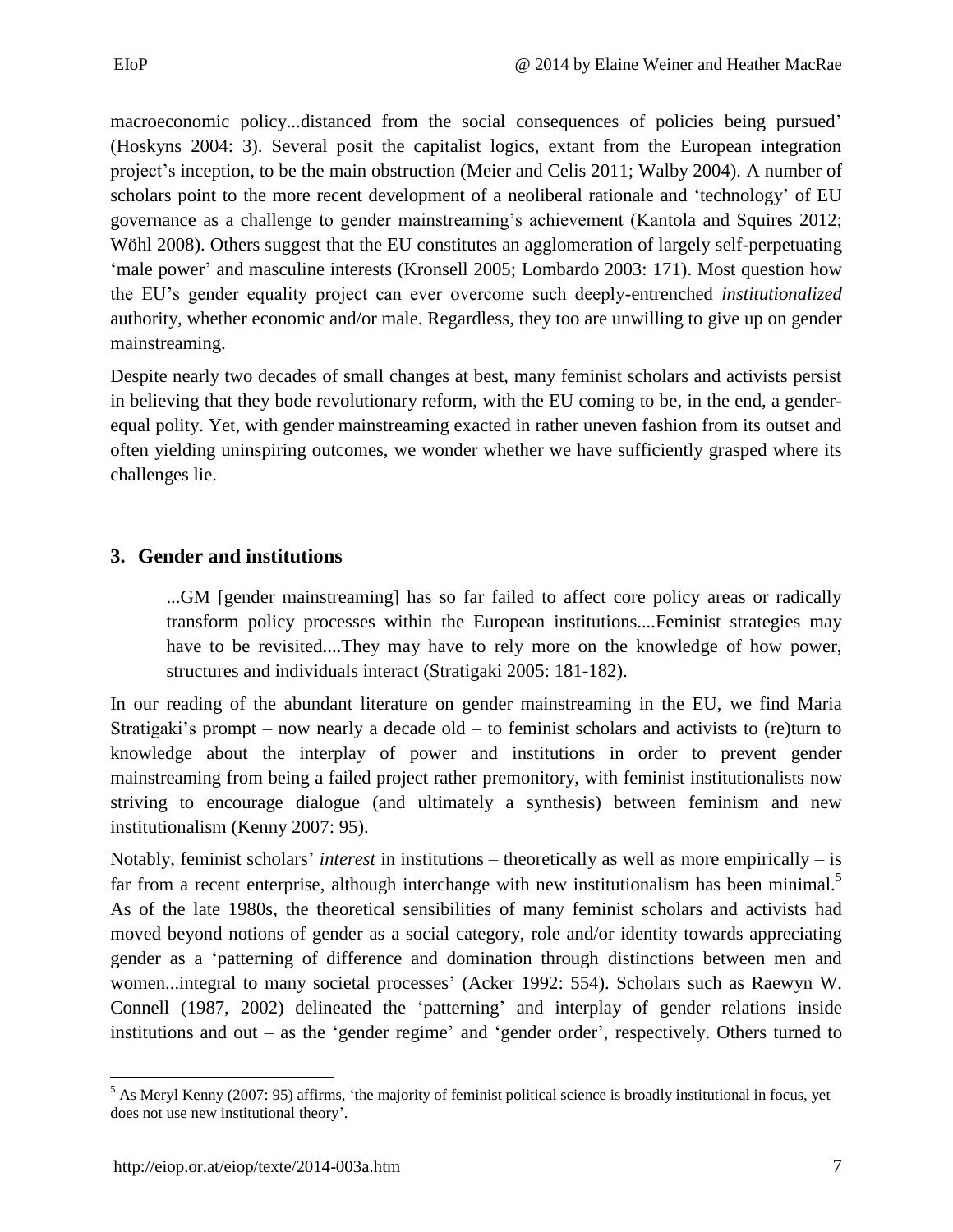macroeconomic policy...distanced from the social consequences of policies being pursued' (Hoskyns 2004: 3). Several posit the capitalist logics, extant from the European integration project's inception, to be the main obstruction (Meier and Celis 2011; Walby 2004). A number of scholars point to the more recent development of a neoliberal rationale and 'technology' of EU governance as a challenge to gender mainstreaming's achievement (Kantola and Squires 2012; Wöhl 2008). Others suggest that the EU constitutes an agglomeration of largely self-perpetuating 'male power' and masculine interests (Kronsell 2005; Lombardo 2003: 171). Most question how the EU's gender equality project can ever overcome such deeply-entrenched *institutionalized*  authority, whether economic and/or male. Regardless, they too are unwilling to give up on gender mainstreaming.

Despite nearly two decades of small changes at best, many feminist scholars and activists persist in believing that they bode revolutionary reform, with the EU coming to be, in the end, a genderequal polity. Yet, with gender mainstreaming exacted in rather uneven fashion from its outset and often yielding uninspiring outcomes, we wonder whether we have sufficiently grasped where its challenges lie.

#### <span id="page-6-0"></span>**3. Gender and institutions**

...GM [gender mainstreaming] has so far failed to affect core policy areas or radically transform policy processes within the European institutions....Feminist strategies may have to be revisited....They may have to rely more on the knowledge of how power, structures and individuals interact (Stratigaki 2005: 181-182).

In our reading of the abundant literature on gender mainstreaming in the EU, we find Maria Stratigaki's prompt – now nearly a decade old – to feminist scholars and activists to (re)turn to knowledge about the interplay of power and institutions in order to prevent gender mainstreaming from being a failed project rather premonitory, with feminist institutionalists now striving to encourage dialogue (and ultimately a synthesis) between feminism and new institutionalism (Kenny 2007: 95).

Notably, feminist scholars' *interest* in institutions – theoretically as well as more empirically – is far from a recent enterprise, although interchange with new institutionalism has been minimal. $\delta$ As of the late 1980s, the theoretical sensibilities of many feminist scholars and activists had moved beyond notions of gender as a social category, role and/or identity towards appreciating gender as a 'patterning of difference and domination through distinctions between men and women...integral to many societal processes' (Acker 1992: 554). Scholars such as Raewyn W. Connell (1987, 2002) delineated the 'patterning' and interplay of gender relations inside institutions and out – as the 'gender regime' and 'gender order', respectively. Others turned to

 $\overline{a}$  $<sup>5</sup>$  As Meryl Kenny (2007: 95) affirms, 'the majority of feminist political science is broadly institutional in focus, yet</sup> does not use new institutional theory'.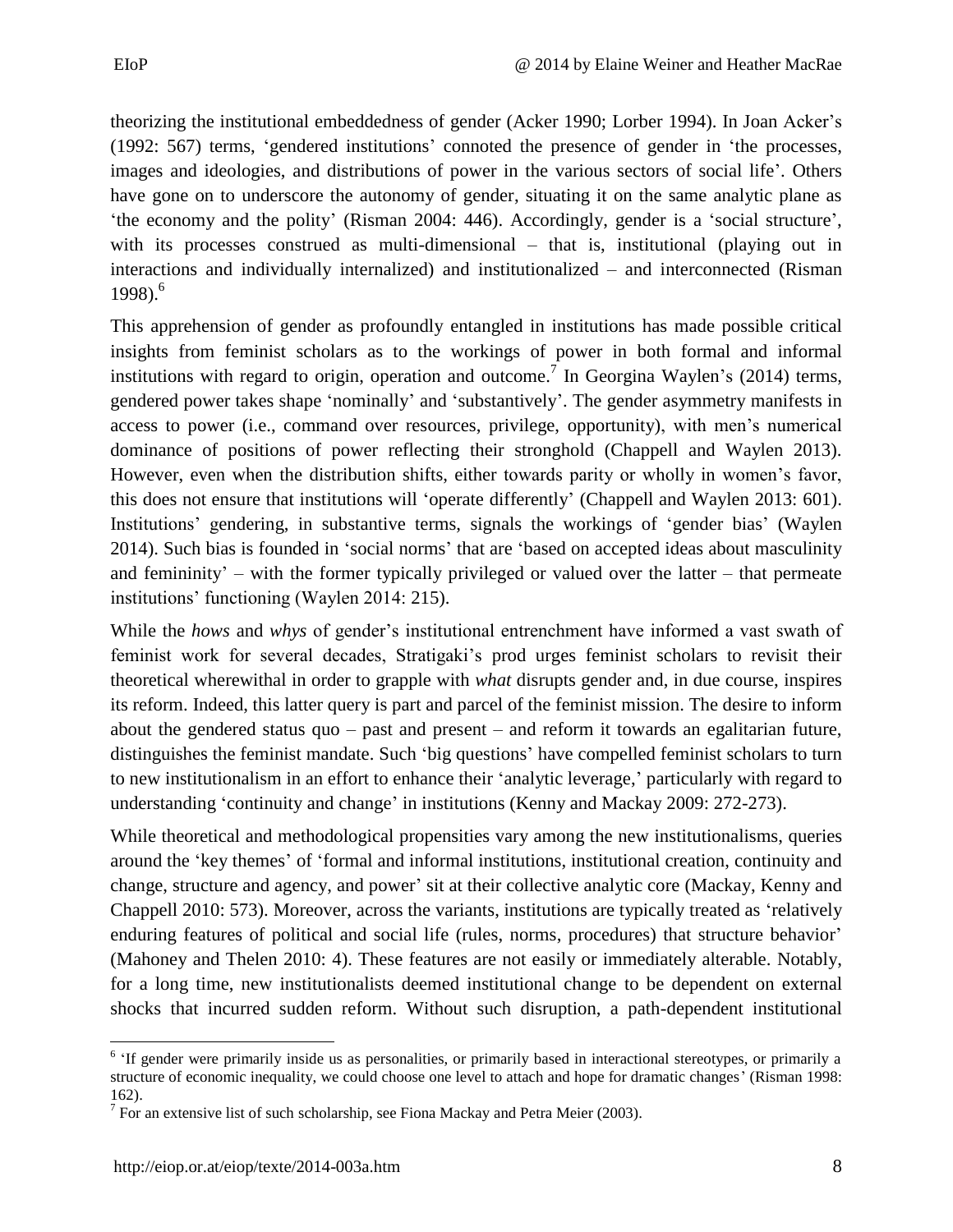theorizing the institutional embeddedness of gender (Acker 1990; Lorber 1994). In Joan Acker's (1992: 567) terms, 'gendered institutions' connoted the presence of gender in 'the processes, images and ideologies, and distributions of power in the various sectors of social life'. Others have gone on to underscore the autonomy of gender, situating it on the same analytic plane as 'the economy and the polity' (Risman 2004: 446). Accordingly, gender is a 'social structure', with its processes construed as multi-dimensional – that is, institutional (playing out in interactions and individually internalized) and institutionalized – and interconnected (Risman 1998). 6

This apprehension of gender as profoundly entangled in institutions has made possible critical insights from feminist scholars as to the workings of power in both formal and informal institutions with regard to origin, operation and outcome.<sup>7</sup> In Georgina Waylen's (2014) terms, gendered power takes shape 'nominally' and 'substantively'. The gender asymmetry manifests in access to power (i.e., command over resources, privilege, opportunity), with men's numerical dominance of positions of power reflecting their stronghold (Chappell and Waylen 2013). However, even when the distribution shifts, either towards parity or wholly in women's favor, this does not ensure that institutions will 'operate differently' (Chappell and Waylen 2013: 601). Institutions' gendering, in substantive terms, signals the workings of 'gender bias' (Waylen 2014). Such bias is founded in 'social norms' that are 'based on accepted ideas about masculinity and femininity' – with the former typically privileged or valued over the latter – that permeate institutions' functioning (Waylen 2014: 215).

While the *hows* and *whys* of gender's institutional entrenchment have informed a vast swath of feminist work for several decades, Stratigaki's prod urges feminist scholars to revisit their theoretical wherewithal in order to grapple with *what* disrupts gender and, in due course, inspires its reform. Indeed, this latter query is part and parcel of the feminist mission. The desire to inform about the gendered status quo – past and present – and reform it towards an egalitarian future, distinguishes the feminist mandate. Such 'big questions' have compelled feminist scholars to turn to new institutionalism in an effort to enhance their 'analytic leverage,' particularly with regard to understanding 'continuity and change' in institutions (Kenny and Mackay 2009: 272-273).

While theoretical and methodological propensities vary among the new institutionalisms, queries around the 'key themes' of 'formal and informal institutions, institutional creation, continuity and change, structure and agency, and power' sit at their collective analytic core (Mackay, Kenny and Chappell 2010: 573). Moreover, across the variants, institutions are typically treated as 'relatively enduring features of political and social life (rules, norms, procedures) that structure behavior' (Mahoney and Thelen 2010: 4). These features are not easily or immediately alterable. Notably, for a long time, new institutionalists deemed institutional change to be dependent on external shocks that incurred sudden reform. Without such disruption, a path-dependent institutional

 $\overline{\phantom{a}}$ <sup>6</sup> 'If gender were primarily inside us as personalities, or primarily based in interactional stereotypes, or primarily a structure of economic inequality, we could choose one level to attach and hope for dramatic changes' (Risman 1998: 162).

<sup>&</sup>lt;sup>7</sup> For an extensive list of such scholarship, see Fiona Mackay and Petra Meier (2003).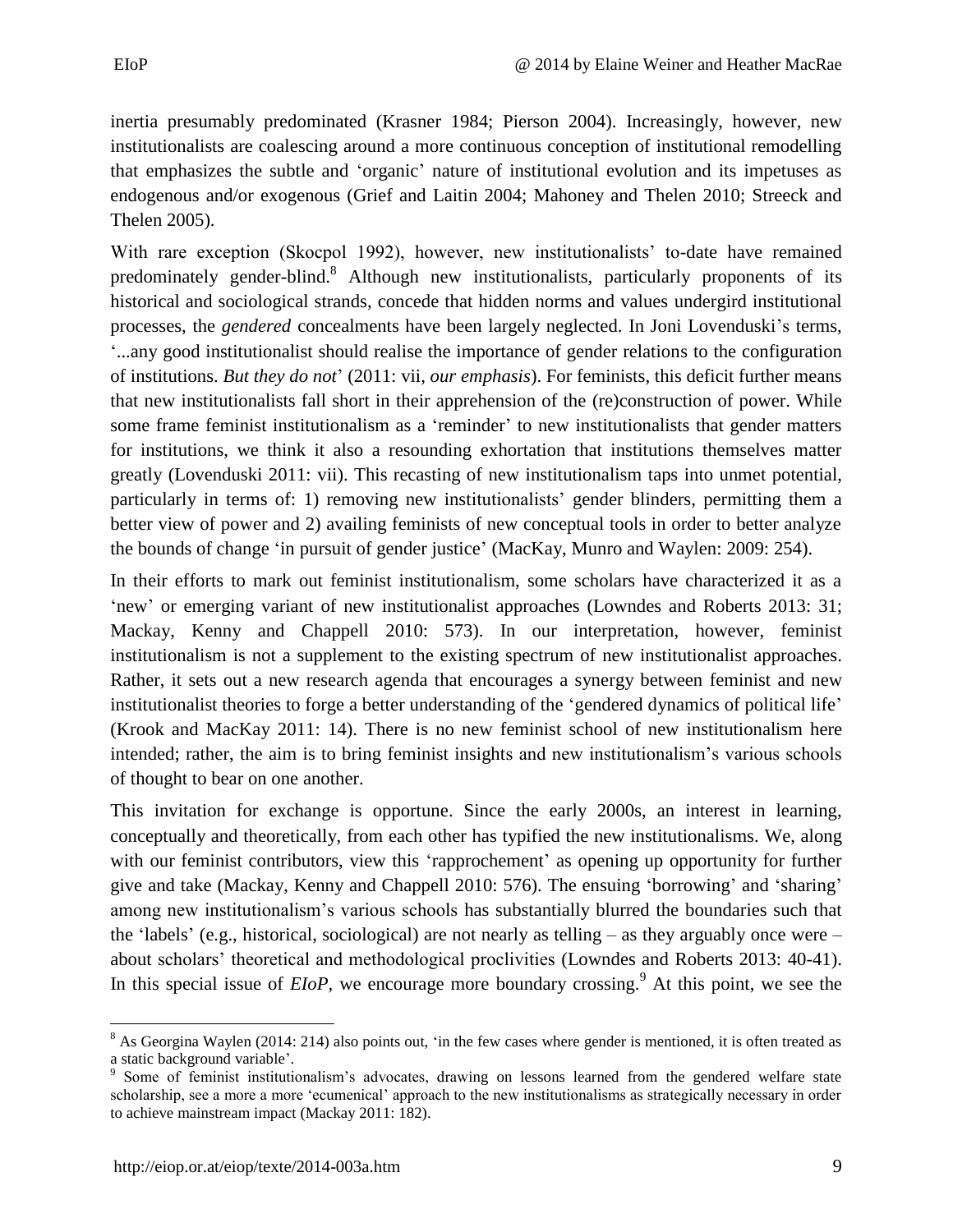inertia presumably predominated (Krasner 1984; Pierson 2004). Increasingly, however, new institutionalists are coalescing around a more continuous conception of institutional remodelling that emphasizes the subtle and 'organic' nature of institutional evolution and its impetuses as endogenous and/or exogenous (Grief and Laitin 2004; Mahoney and Thelen 2010; Streeck and Thelen 2005).

With rare exception (Skocpol 1992), however, new institutionalists' to-date have remained predominately gender-blind.<sup>8</sup> Although new institutionalists, particularly proponents of its historical and sociological strands, concede that hidden norms and values undergird institutional processes, the *gendered* concealments have been largely neglected. In Joni Lovenduski's terms, '...any good institutionalist should realise the importance of gender relations to the configuration of institutions. *But they do not*' (2011: vii, *our emphasis*). For feminists, this deficit further means that new institutionalists fall short in their apprehension of the (re)construction of power. While some frame feminist institutionalism as a 'reminder' to new institutionalists that gender matters for institutions, we think it also a resounding exhortation that institutions themselves matter greatly (Lovenduski 2011: vii). This recasting of new institutionalism taps into unmet potential, particularly in terms of: 1) removing new institutionalists' gender blinders, permitting them a better view of power and 2) availing feminists of new conceptual tools in order to better analyze the bounds of change 'in pursuit of gender justice' (MacKay, Munro and Waylen: 2009: 254).

In their efforts to mark out feminist institutionalism, some scholars have characterized it as a 'new' or emerging variant of new institutionalist approaches (Lowndes and Roberts 2013: 31; Mackay, Kenny and Chappell 2010: 573). In our interpretation, however, feminist institutionalism is not a supplement to the existing spectrum of new institutionalist approaches. Rather, it sets out a new research agenda that encourages a synergy between feminist and new institutionalist theories to forge a better understanding of the 'gendered dynamics of political life' (Krook and MacKay 2011: 14). There is no new feminist school of new institutionalism here intended; rather, the aim is to bring feminist insights and new institutionalism's various schools of thought to bear on one another.

This invitation for exchange is opportune. Since the early 2000s, an interest in learning, conceptually and theoretically, from each other has typified the new institutionalisms*.* We, along with our feminist contributors, view this 'rapprochement' as opening up opportunity for further give and take (Mackay, Kenny and Chappell 2010: 576). The ensuing 'borrowing' and 'sharing' among new institutionalism's various schools has substantially blurred the boundaries such that the 'labels' (e.g., historical, sociological) are not nearly as telling – as they arguably once were – about scholars' theoretical and methodological proclivities (Lowndes and Roberts 2013: 40-41). In this special issue of *EIoP*, we encourage more boundary crossing.<sup>9</sup> At this point, we see the

 $\overline{\phantom{a}}$  $8$  As Georgina Waylen (2014: 214) also points out, 'in the few cases where gender is mentioned, it is often treated as a static background variable'.

<sup>&</sup>lt;sup>9</sup> Some of feminist institutionalism's advocates, drawing on lessons learned from the gendered welfare state scholarship, see a more a more 'ecumenical' approach to the new institutionalisms as strategically necessary in order to achieve mainstream impact (Mackay 2011: 182).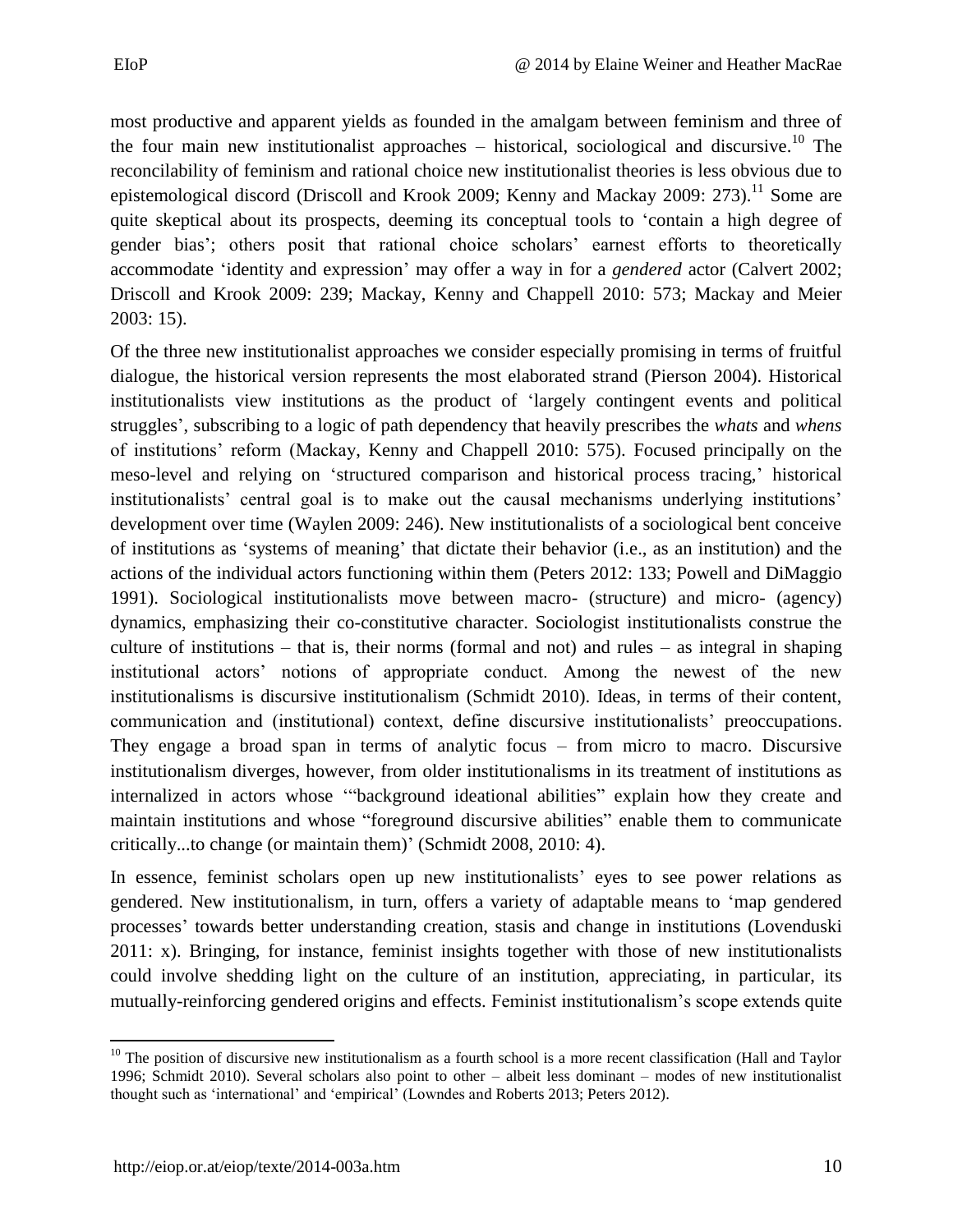most productive and apparent yields as founded in the amalgam between feminism and three of the four main new institutionalist approaches – historical, sociological and discursive.<sup>10</sup> The reconcilability of feminism and rational choice new institutionalist theories is less obvious due to epistemological discord (Driscoll and Krook 2009; Kenny and Mackay 2009: 273).<sup>11</sup> Some are quite skeptical about its prospects, deeming its conceptual tools to 'contain a high degree of gender bias'; others posit that rational choice scholars' earnest efforts to theoretically accommodate 'identity and expression' may offer a way in for a *gendered* actor (Calvert 2002; Driscoll and Krook 2009: 239; Mackay, Kenny and Chappell 2010: 573; Mackay and Meier 2003: 15).

Of the three new institutionalist approaches we consider especially promising in terms of fruitful dialogue, the historical version represents the most elaborated strand (Pierson 2004). Historical institutionalists view institutions as the product of 'largely contingent events and political struggles', subscribing to a logic of path dependency that heavily prescribes the *whats* and *whens* of institutions' reform (Mackay, Kenny and Chappell 2010: 575). Focused principally on the meso-level and relying on 'structured comparison and historical process tracing,' historical institutionalists' central goal is to make out the causal mechanisms underlying institutions' development over time (Waylen 2009: 246). New institutionalists of a sociological bent conceive of institutions as 'systems of meaning' that dictate their behavior (i.e., as an institution) and the actions of the individual actors functioning within them (Peters 2012: 133; Powell and DiMaggio 1991). Sociological institutionalists move between macro- (structure) and micro- (agency) dynamics, emphasizing their co-constitutive character. Sociologist institutionalists construe the culture of institutions – that is, their norms (formal and not) and rules – as integral in shaping institutional actors' notions of appropriate conduct. Among the newest of the new institutionalisms is discursive institutionalism (Schmidt 2010). Ideas, in terms of their content, communication and (institutional) context, define discursive institutionalists' preoccupations. They engage a broad span in terms of analytic focus – from micro to macro. Discursive institutionalism diverges, however, from older institutionalisms in its treatment of institutions as internalized in actors whose '"background ideational abilities" explain how they create and maintain institutions and whose "foreground discursive abilities" enable them to communicate critically...to change (or maintain them)' (Schmidt 2008, 2010: 4).

In essence, feminist scholars open up new institutionalists' eyes to see power relations as gendered. New institutionalism, in turn, offers a variety of adaptable means to 'map gendered processes' towards better understanding creation, stasis and change in institutions (Lovenduski 2011: x). Bringing, for instance, feminist insights together with those of new institutionalists could involve shedding light on the culture of an institution, appreciating, in particular, its mutually-reinforcing gendered origins and effects. Feminist institutionalism's scope extends quite

 $\overline{\phantom{a}}$  $10$  The position of discursive new institutionalism as a fourth school is a more recent classification (Hall and Taylor 1996; Schmidt 2010). Several scholars also point to other – albeit less dominant – modes of new institutionalist thought such as 'international' and 'empirical' (Lowndes and Roberts 2013; Peters 2012).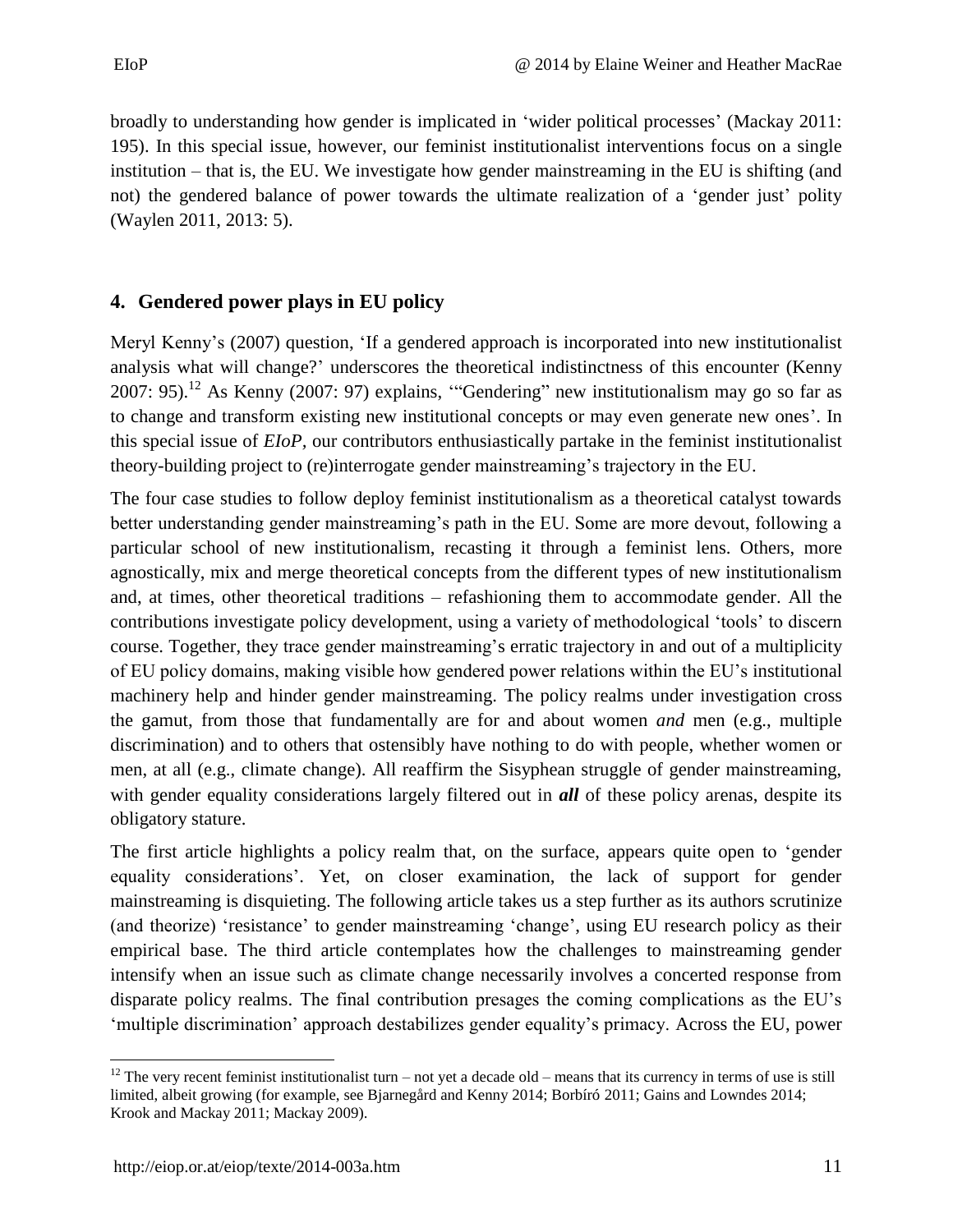broadly to understanding how gender is implicated in 'wider political processes' (Mackay 2011: 195). In this special issue, however, our feminist institutionalist interventions focus on a single institution – that is, the EU. We investigate how gender mainstreaming in the EU is shifting (and not) the gendered balance of power towards the ultimate realization of a 'gender just' polity (Waylen 2011, 2013: 5).

#### <span id="page-10-0"></span>**4. Gendered power plays in EU policy**

Meryl Kenny's (2007) question, 'If a gendered approach is incorporated into new institutionalist analysis what will change?' underscores the theoretical indistinctness of this encounter (Kenny 2007: 95).<sup>12</sup> As Kenny (2007: 97) explains, "Gendering" new institutionalism may go so far as to change and transform existing new institutional concepts or may even generate new ones'. In this special issue of *EIoP,* our contributors enthusiastically partake in the feminist institutionalist theory-building project to (re)interrogate gender mainstreaming's trajectory in the EU.

The four case studies to follow deploy feminist institutionalism as a theoretical catalyst towards better understanding gender mainstreaming's path in the EU. Some are more devout, following a particular school of new institutionalism, recasting it through a feminist lens. Others, more agnostically, mix and merge theoretical concepts from the different types of new institutionalism and, at times, other theoretical traditions – refashioning them to accommodate gender. All the contributions investigate policy development, using a variety of methodological 'tools' to discern course. Together, they trace gender mainstreaming's erratic trajectory in and out of a multiplicity of EU policy domains, making visible how gendered power relations within the EU's institutional machinery help and hinder gender mainstreaming. The policy realms under investigation cross the gamut, from those that fundamentally are for and about women *and* men (e.g., multiple discrimination) and to others that ostensibly have nothing to do with people, whether women or men, at all (e.g., climate change). All reaffirm the Sisyphean struggle of gender mainstreaming, with gender equality considerations largely filtered out in *all* of these policy arenas, despite its obligatory stature.

The first article highlights a policy realm that, on the surface, appears quite open to 'gender equality considerations'. Yet, on closer examination, the lack of support for gender mainstreaming is disquieting. The following article takes us a step further as its authors scrutinize (and theorize) 'resistance' to gender mainstreaming 'change', using EU research policy as their empirical base. The third article contemplates how the challenges to mainstreaming gender intensify when an issue such as climate change necessarily involves a concerted response from disparate policy realms. The final contribution presages the coming complications as the EU's 'multiple discrimination' approach destabilizes gender equality's primacy. Across the EU, power

l

<sup>&</sup>lt;sup>12</sup> The very recent feminist institutionalist turn – not yet a decade old – means that its currency in terms of use is still limited, albeit growing (for example, see Bjarnegård and Kenny 2014; Borbíró 2011; Gains and Lowndes 2014; Krook and Mackay 2011; Mackay 2009).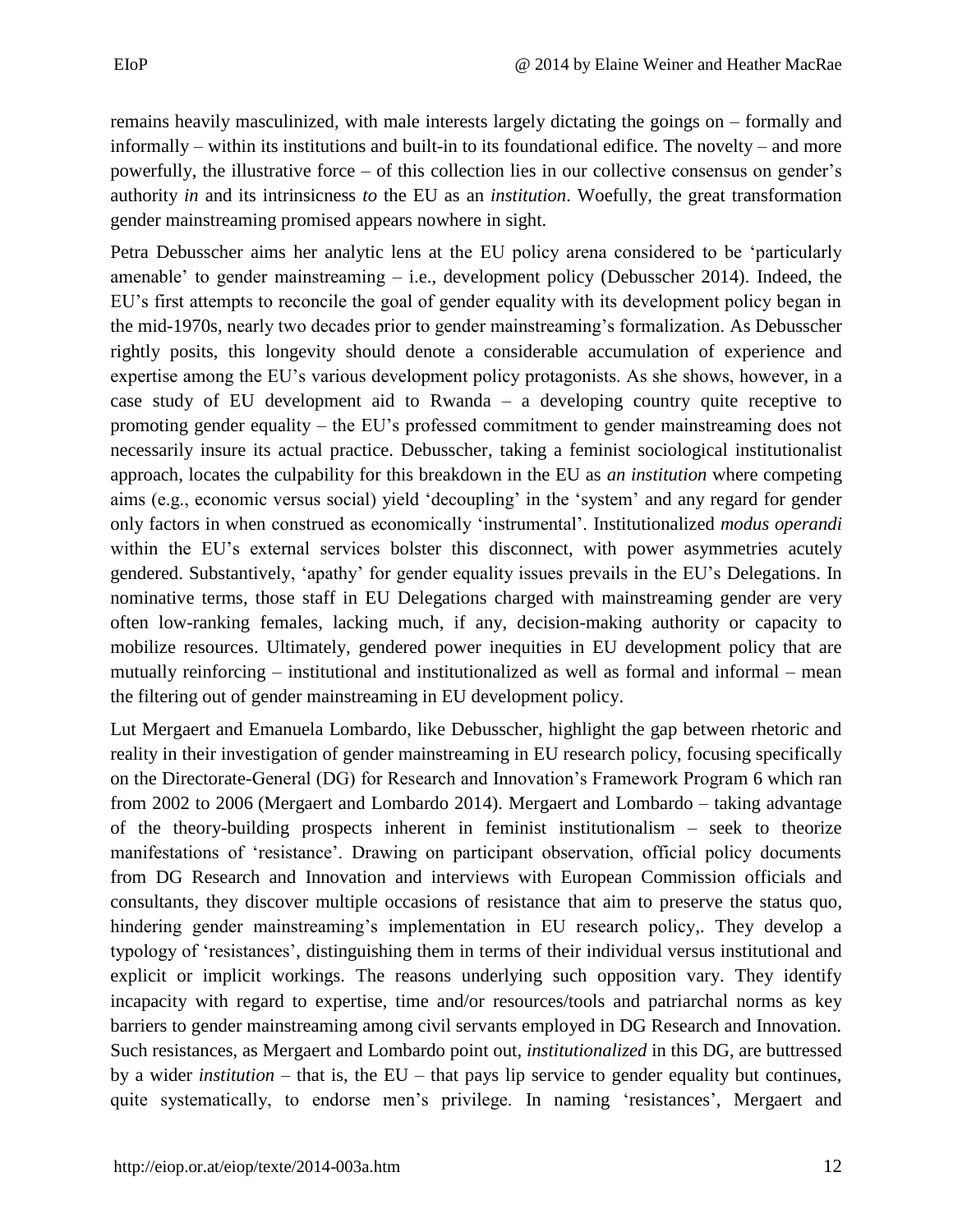remains heavily masculinized, with male interests largely dictating the goings on – formally and informally – within its institutions and built-in to its foundational edifice. The novelty – and more powerfully, the illustrative force – of this collection lies in our collective consensus on gender's authority *in* and its intrinsicness *to* the EU as an *institution*. Woefully, the great transformation gender mainstreaming promised appears nowhere in sight.

Petra Debusscher aims her analytic lens at the EU policy arena considered to be 'particularly amenable' to gender mainstreaming – i.e., development policy (Debusscher 2014). Indeed, the EU's first attempts to reconcile the goal of gender equality with its development policy began in the mid-1970s, nearly two decades prior to gender mainstreaming's formalization. As Debusscher rightly posits, this longevity should denote a considerable accumulation of experience and expertise among the EU's various development policy protagonists. As she shows, however, in a case study of EU development aid to Rwanda – a developing country quite receptive to promoting gender equality – the EU's professed commitment to gender mainstreaming does not necessarily insure its actual practice. Debusscher, taking a feminist sociological institutionalist approach, locates the culpability for this breakdown in the EU as *an institution* where competing aims (e.g., economic versus social) yield 'decoupling' in the 'system' and any regard for gender only factors in when construed as economically 'instrumental'. Institutionalized *modus operandi*  within the EU's external services bolster this disconnect, with power asymmetries acutely gendered. Substantively, 'apathy' for gender equality issues prevails in the EU's Delegations. In nominative terms, those staff in EU Delegations charged with mainstreaming gender are very often low-ranking females, lacking much, if any, decision-making authority or capacity to mobilize resources. Ultimately, gendered power inequities in EU development policy that are mutually reinforcing – institutional and institutionalized as well as formal and informal – mean the filtering out of gender mainstreaming in EU development policy.

Lut Mergaert and Emanuela Lombardo, like Debusscher, highlight the gap between rhetoric and reality in their investigation of gender mainstreaming in EU research policy, focusing specifically on the Directorate-General (DG) for Research and Innovation's Framework Program 6 which ran from 2002 to 2006 (Mergaert and Lombardo 2014). Mergaert and Lombardo – taking advantage of the theory-building prospects inherent in feminist institutionalism – seek to theorize manifestations of 'resistance'. Drawing on participant observation, official policy documents from DG Research and Innovation and interviews with European Commission officials and consultants, they discover multiple occasions of resistance that aim to preserve the status quo, hindering gender mainstreaming's implementation in EU research policy,. They develop a typology of 'resistances', distinguishing them in terms of their individual versus institutional and explicit or implicit workings. The reasons underlying such opposition vary. They identify incapacity with regard to expertise, time and/or resources/tools and patriarchal norms as key barriers to gender mainstreaming among civil servants employed in DG Research and Innovation. Such resistances, as Mergaert and Lombardo point out, *institutionalized* in this DG, are buttressed by a wider *institution –* that is, the EU – that pays lip service to gender equality but continues, quite systematically, to endorse men's privilege. In naming 'resistances', Mergaert and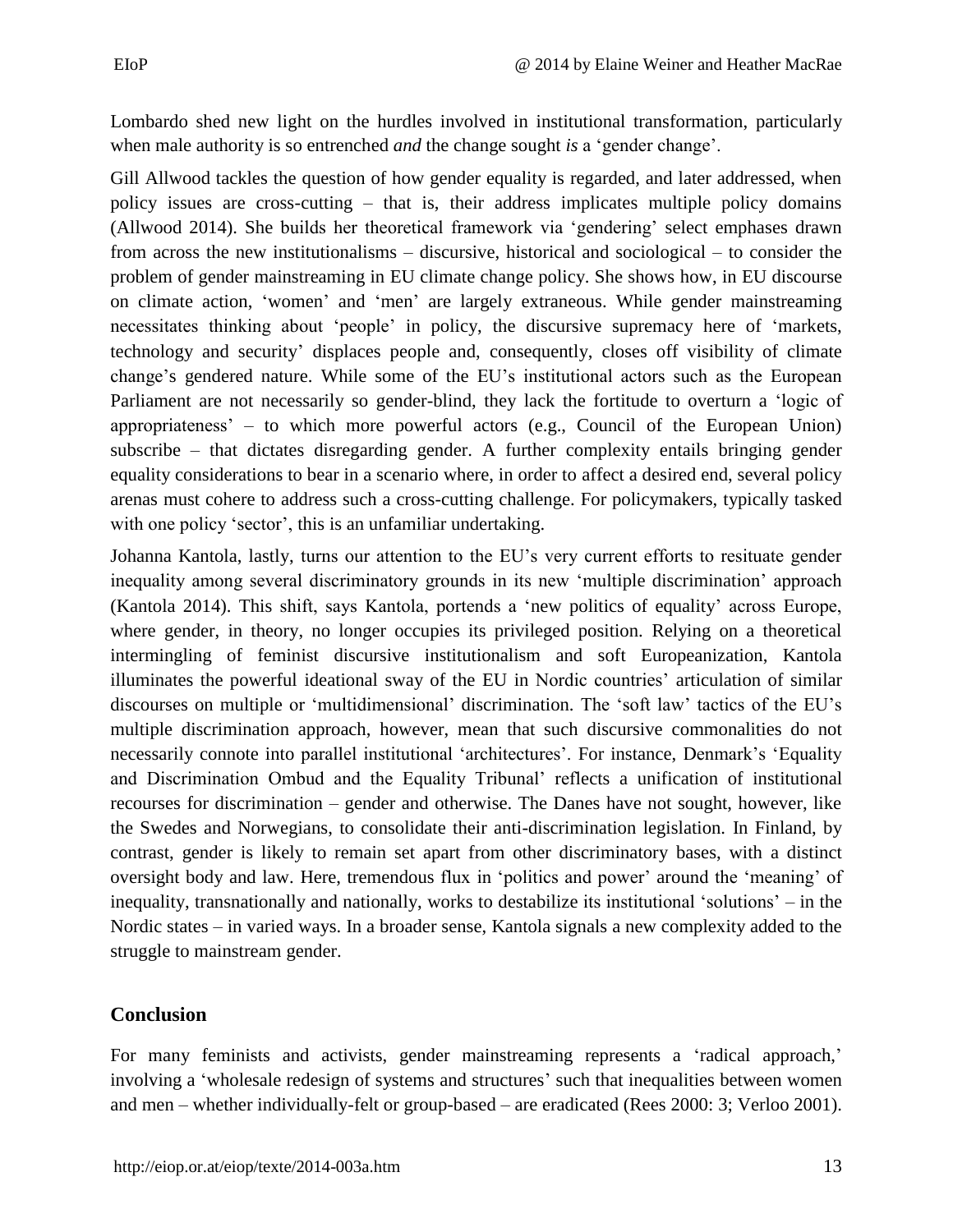Lombardo shed new light on the hurdles involved in institutional transformation, particularly when male authority is so entrenched *and* the change sought *is* a 'gender change'.

Gill Allwood tackles the question of how gender equality is regarded, and later addressed, when policy issues are cross-cutting – that is, their address implicates multiple policy domains (Allwood 2014). She builds her theoretical framework via 'gendering' select emphases drawn from across the new institutionalisms – discursive, historical and sociological – to consider the problem of gender mainstreaming in EU climate change policy. She shows how, in EU discourse on climate action, 'women' and 'men' are largely extraneous. While gender mainstreaming necessitates thinking about 'people' in policy, the discursive supremacy here of 'markets, technology and security' displaces people and, consequently, closes off visibility of climate change's gendered nature. While some of the EU's institutional actors such as the European Parliament are not necessarily so gender-blind, they lack the fortitude to overturn a 'logic of appropriateness' – to which more powerful actors (e.g., Council of the European Union) subscribe – that dictates disregarding gender. A further complexity entails bringing gender equality considerations to bear in a scenario where, in order to affect a desired end, several policy arenas must cohere to address such a cross-cutting challenge. For policymakers, typically tasked with one policy 'sector', this is an unfamiliar undertaking.

Johanna Kantola, lastly, turns our attention to the EU's very current efforts to resituate gender inequality among several discriminatory grounds in its new 'multiple discrimination' approach (Kantola 2014). This shift, says Kantola, portends a 'new politics of equality' across Europe, where gender, in theory, no longer occupies its privileged position. Relying on a theoretical intermingling of feminist discursive institutionalism and soft Europeanization, Kantola illuminates the powerful ideational sway of the EU in Nordic countries' articulation of similar discourses on multiple or 'multidimensional' discrimination. The 'soft law' tactics of the EU's multiple discrimination approach, however, mean that such discursive commonalities do not necessarily connote into parallel institutional 'architectures'. For instance, Denmark's 'Equality and Discrimination Ombud and the Equality Tribunal' reflects a unification of institutional recourses for discrimination – gender and otherwise. The Danes have not sought, however, like the Swedes and Norwegians, to consolidate their anti-discrimination legislation. In Finland, by contrast, gender is likely to remain set apart from other discriminatory bases, with a distinct oversight body and law. Here, tremendous flux in 'politics and power' around the 'meaning' of inequality, transnationally and nationally, works to destabilize its institutional 'solutions' – in the Nordic states – in varied ways. In a broader sense, Kantola signals a new complexity added to the struggle to mainstream gender.

### <span id="page-12-0"></span>**Conclusion**

For many feminists and activists, gender mainstreaming represents a 'radical approach,' involving a 'wholesale redesign of systems and structures' such that inequalities between women and men – whether individually-felt or group-based – are eradicated (Rees 2000: 3; Verloo 2001).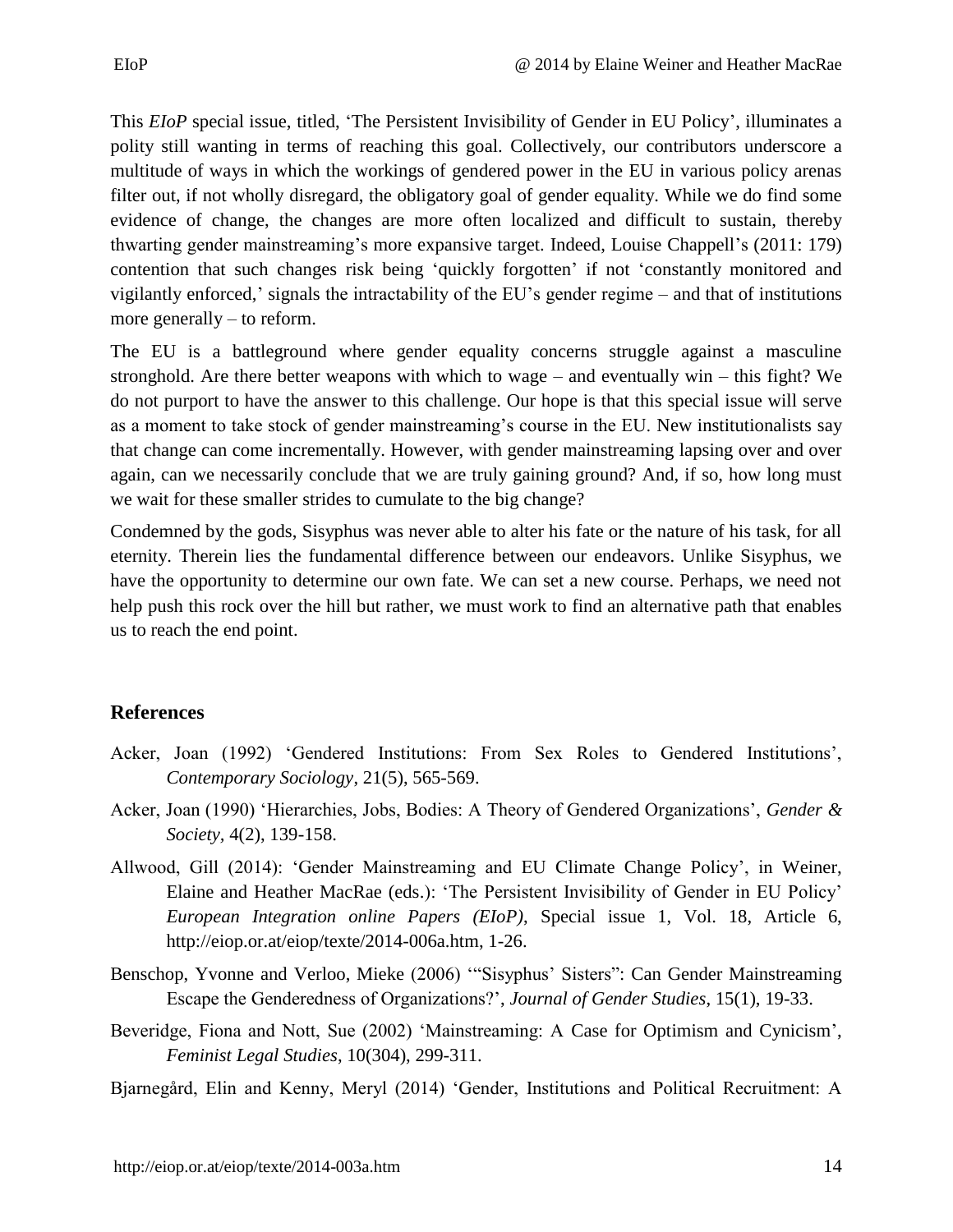This *EIoP* special issue, titled, 'The Persistent Invisibility of Gender in EU Policy', illuminates a polity still wanting in terms of reaching this goal. Collectively, our contributors underscore a multitude of ways in which the workings of gendered power in the EU in various policy arenas filter out, if not wholly disregard, the obligatory goal of gender equality. While we do find some evidence of change, the changes are more often localized and difficult to sustain, thereby thwarting gender mainstreaming's more expansive target. Indeed, Louise Chappell's (2011: 179) contention that such changes risk being 'quickly forgotten' if not 'constantly monitored and vigilantly enforced,' signals the intractability of the EU's gender regime – and that of institutions more generally – to reform.

The EU is a battleground where gender equality concerns struggle against a masculine stronghold. Are there better weapons with which to wage – and eventually win – this fight? We do not purport to have the answer to this challenge. Our hope is that this special issue will serve as a moment to take stock of gender mainstreaming's course in the EU. New institutionalists say that change can come incrementally. However, with gender mainstreaming lapsing over and over again, can we necessarily conclude that we are truly gaining ground? And, if so, how long must we wait for these smaller strides to cumulate to the big change?

Condemned by the gods, Sisyphus was never able to alter his fate or the nature of his task, for all eternity. Therein lies the fundamental difference between our endeavors. Unlike Sisyphus, we have the opportunity to determine our own fate. We can set a new course. Perhaps, we need not help push this rock over the hill but rather, we must work to find an alternative path that enables us to reach the end point.

### <span id="page-13-0"></span>**References**

- Acker, Joan (1992) 'Gendered Institutions: From Sex Roles to Gendered Institutions', *Contemporary Sociology*, 21(5), 565-569.
- Acker, Joan (1990) 'Hierarchies, Jobs, Bodies: A Theory of Gendered Organizations', *Gender & Society,* 4(2), 139-158.
- Allwood, Gill (2014): 'Gender Mainstreaming and EU Climate Change Policy', in Weiner, Elaine and Heather MacRae (eds.): 'The Persistent Invisibility of Gender in EU Policy' *European Integration online Papers (EIoP)*, Special issue 1, Vol. 18, Article 6, http://eiop.or.at/eiop/texte/2014-006a.htm, 1-26.
- Benschop, Yvonne and Verloo, Mieke (2006) '"Sisyphus' Sisters": Can Gender Mainstreaming Escape the Genderedness of Organizations?', *Journal of Gender Studies*, 15(1), 19-33.
- Beveridge, Fiona and Nott, Sue (2002) 'Mainstreaming: A Case for Optimism and Cynicism', *Feminist Legal Studies*, 10(304), 299-311.
- Bjarnegård, Elin and Kenny, Meryl (2014) 'Gender, Institutions and Political Recruitment: A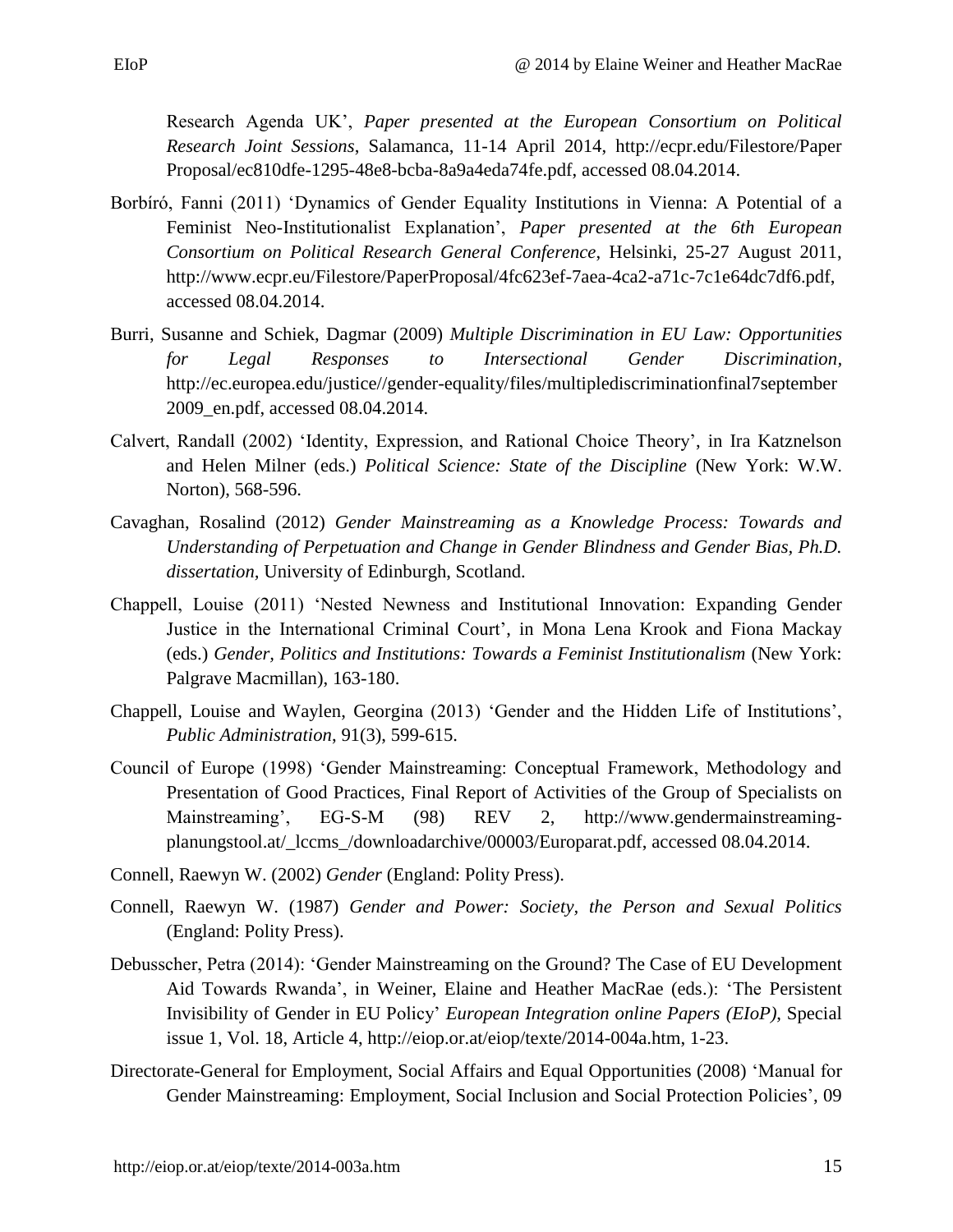Research Agenda UK', *Paper presented at the European Consortium on Political Research Joint Sessions*, Salamanca, 11-14 April 2014, [http://ecpr.edu/Filestore/Paper](http://ecpr.edu/Filestore/PaperProposal/) [Proposal/e](http://ecpr.edu/Filestore/PaperProposal/)c810dfe-1295-48e8-bcba-8a9a4eda74fe.pdf, accessed 08.04.2014.

- Borbíró, Fanni (2011) 'Dynamics of Gender Equality Institutions in Vienna: A Potential of a Feminist Neo-Institutionalist Explanation', *Paper presented at the 6th European Consortium on Political Research General Conference*, Helsinki, 25-27 August 2011, [http://www.ecpr.eu/Filestore/PaperProposal/4fc623ef-7aea-4ca2-a71c-7c1e64dc7df6.pdf,](http://www.ecpr.eu/Filestore/PaperProposal/4fc623ef-7aea-4ca2-a71c-7c1e64dc7df6.pdf) accessed 08.04.2014.
- Burri, Susanne and Schiek, Dagmar (2009) *Multiple Discrimination in EU Law: Opportunities for Legal Responses to Intersectional Gender Discrimination,* http://ec.europea.edu/justice[//gender-equality/files/multiplediscriminationfinal7september](http://ec.europa.eu/justice/gender-equality/files/multiplediscriminationfinal7september2009_en.pdf) [2009\\_en.pdf,](http://ec.europa.eu/justice/gender-equality/files/multiplediscriminationfinal7september2009_en.pdf) accessed 08.04.2014.
- Calvert, Randall (2002) 'Identity, Expression, and Rational Choice Theory', in Ira Katznelson and Helen Milner (eds.) *Political Science: State of the Discipline* (New York: W.W. Norton), 568-596.
- Cavaghan, Rosalind (2012) *Gender Mainstreaming as a Knowledge Process: Towards and Understanding of Perpetuation and Change in Gender Blindness and Gender Bias, Ph.D. dissertation,* University of Edinburgh, Scotland.
- Chappell, Louise (2011) 'Nested Newness and Institutional Innovation: Expanding Gender Justice in the International Criminal Court', in Mona Lena Krook and Fiona Mackay (eds.) *Gender, Politics and Institutions: Towards a Feminist Institutionalism* (New York: Palgrave Macmillan), 163-180.
- Chappell, Louise and Waylen, Georgina (2013) 'Gender and the Hidden Life of Institutions', *Public Administration*, 91(3), 599-615.
- Council of Europe (1998) 'Gender Mainstreaming: Conceptual Framework, Methodology and Presentation of Good Practices, Final Report of Activities of the Group of Specialists on Mainstreaming', EG-S-M (98) REV 2, [http://www.gendermainstreaming](http://www.gendermainstreaming-planungstool.at/_lccms_/downloadarchive/00003/Europarat.pdf)[planungstool.at/\\_lccms\\_/downloadarchive/00003/Europarat.pdf,](http://www.gendermainstreaming-planungstool.at/_lccms_/downloadarchive/00003/Europarat.pdf) accessed 08.04.2014.
- Connell, Raewyn W. (2002) *Gender* (England: Polity Press).
- Connell, Raewyn W. (1987) *Gender and Power: Society, the Person and Sexual Politics*  (England: Polity Press).
- Debusscher, Petra (2014): 'Gender Mainstreaming on the Ground? The Case of EU Development Aid Towards Rwanda', in Weiner, Elaine and Heather MacRae (eds.): 'The Persistent Invisibility of Gender in EU Policy' *European Integration online Papers (EIoP)*, Special issue 1, Vol. 18, Article 4, http://eiop.or.at/eiop/texte/2014-004a.htm, 1-23.
- Directorate-General for Employment, Social Affairs and Equal Opportunities (2008) 'Manual for Gender Mainstreaming: Employment, Social Inclusion and Social Protection Policies', 09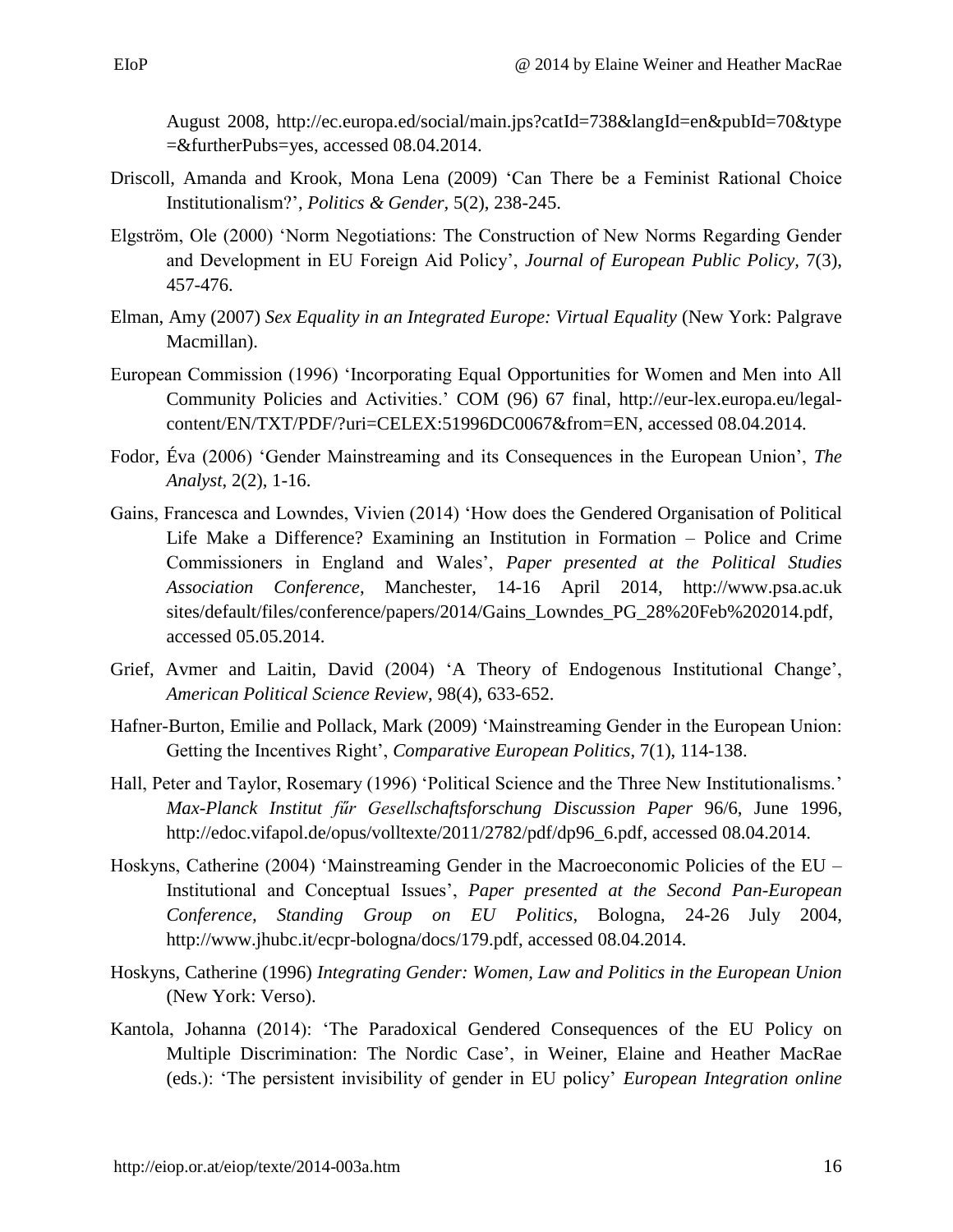August 2008,<http://ec.europa.ed/social/main.jps?catId=738&langId=en&pubId=70&type> =&furtherPubs=yes, accessed 08.04.2014.

- Driscoll, Amanda and Krook, Mona Lena (2009) 'Can There be a Feminist Rational Choice Institutionalism?', *Politics & Gender,* 5(2), 238-245.
- Elgström, Ole (2000) 'Norm Negotiations: The Construction of New Norms Regarding Gender and Development in EU Foreign Aid Policy', *Journal of European Public Policy,* 7(3), 457-476.
- Elman, Amy (2007) *Sex Equality in an Integrated Europe: Virtual Equality* (New York: Palgrave Macmillan).
- European Commission (1996) 'Incorporating Equal Opportunities for Women and Men into All Community Policies and Activities.' COM (96) 67 final, [http://eur-lex.europa.eu/legal](http://eur-lex.europa.eu/legal-content/EN/TXT/PDF/?uri=CELEX:51996DC0067&from=EN)[content/EN/TXT/PDF/?uri=CELEX:51996DC0067&from=EN,](http://eur-lex.europa.eu/legal-content/EN/TXT/PDF/?uri=CELEX:51996DC0067&from=EN) accessed 08.04.2014.
- Fodor, Éva (2006) 'Gender Mainstreaming and its Consequences in the European Union', *The Analyst*, 2(2), 1-16.
- Gains, Francesca and Lowndes, Vivien (2014) 'How does the Gendered Organisation of Political Life Make a Difference? Examining an Institution in Formation – Police and Crime Commissioners in England and Wales', *Paper presented at the Political Studies Association Conference*, Manchester, 14-16 April 2014, http://www.psa.ac.uk [sites/default/files/conference/papers/2014/Gains\\_Lowndes\\_PG\\_28%20Feb%202014.pdf,](http://www.psa.ac.uk/sites/default/files/conference/papers/2014/Gains_Lowndes_PG_28%20Feb%202014.pdf) accessed 05.05.2014.
- Grief, Avmer and Laitin, David (2004) 'A Theory of Endogenous Institutional Change', *American Political Science Review*, 98(4), 633-652.
- Hafner-Burton, Emilie and Pollack, Mark (2009) 'Mainstreaming Gender in the European Union: Getting the Incentives Right', *Comparative European Politics*, 7(1), 114-138.
- Hall, Peter and Taylor, Rosemary (1996) 'Political Science and the Three New Institutionalisms.' *Max-Planck Institut fűr Gesellschaftsforschung Discussion Paper* 96/6, June 1996, [http://edoc.vifapol.de/opus/volltexte/2011/2782/pdf/dp96\\_6.pdf,](http://edoc.vifapol.de/opus/volltexte/2011/2782/pdf/dp96_6.pdf) accessed 08.04.2014.
- Hoskyns, Catherine (2004) 'Mainstreaming Gender in the Macroeconomic Policies of the EU Institutional and Conceptual Issues', *Paper presented at the Second Pan-European Conference, Standing Group on EU Politics*, Bologna, 24-26 July 2004, [http://www.jhubc.it/ecpr-bologna/docs/179.pdf,](http://www.jhubc.it/ecpr-bologna/docs/179.pdf) accessed 08.04.2014.
- Hoskyns, Catherine (1996) *Integrating Gender: Women, Law and Politics in the European Union*  (New York: Verso).
- Kantola, Johanna (2014): 'The Paradoxical Gendered Consequences of the EU Policy on Multiple Discrimination: The Nordic Case', in Weiner, Elaine and Heather MacRae (eds.): 'The persistent invisibility of gender in EU policy' *European Integration online*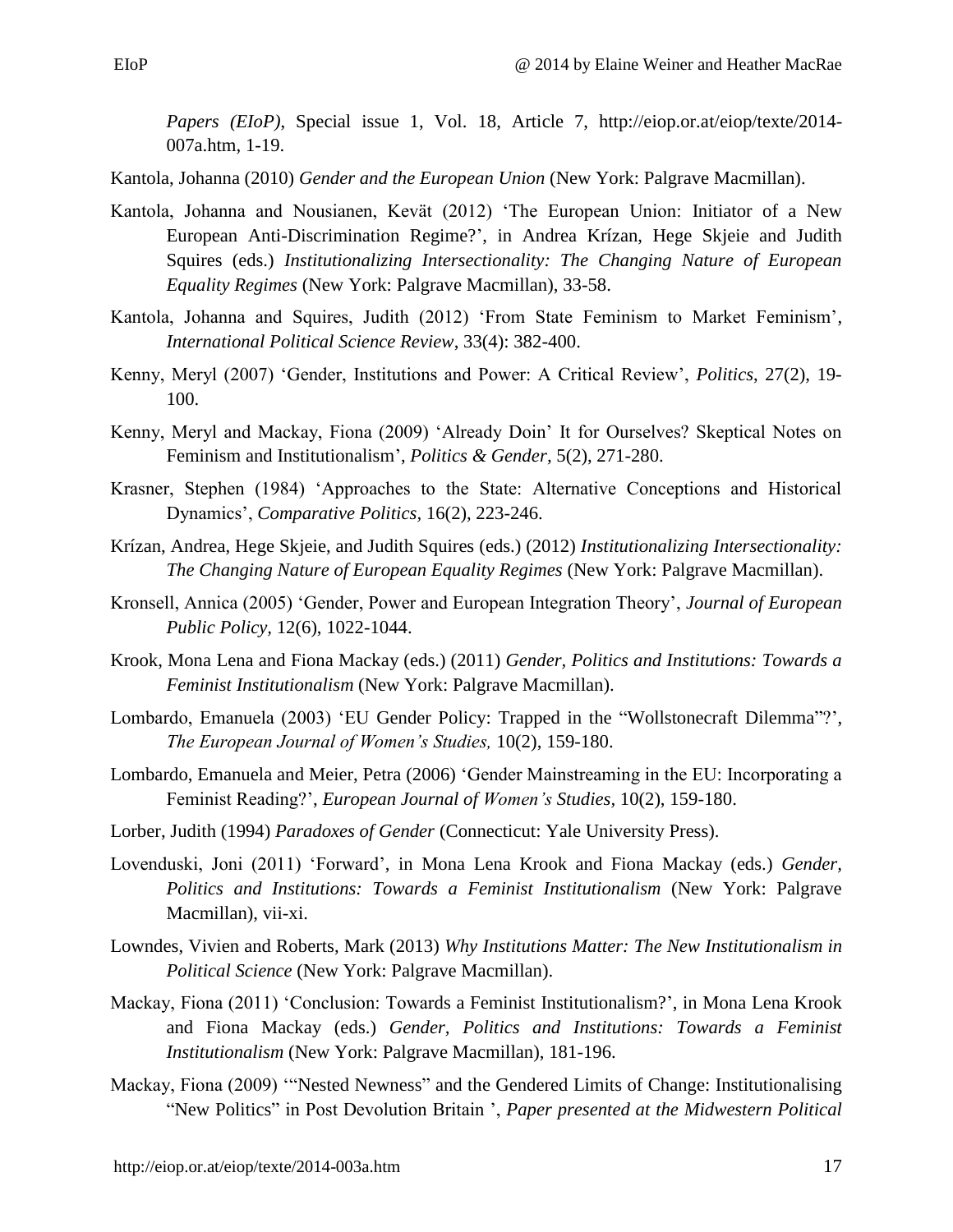*Papers (EIoP)*, Special issue 1, Vol. 18, Article 7, http://eiop.or.at/eiop/texte/2014- 007a.htm, 1-19.

Kantola, Johanna (2010) *Gender and the European Union* (New York: Palgrave Macmillan).

- Kantola, Johanna and Nousianen, Kevät (2012) 'The European Union: Initiator of a New European Anti-Discrimination Regime?', in Andrea Krízan, Hege Skjeie and Judith Squires (eds.) *Institutionalizing Intersectionality: The Changing Nature of European Equality Regimes* (New York: Palgrave Macmillan), 33-58.
- Kantola, Johanna and Squires, Judith (2012) 'From State Feminism to Market Feminism', *International Political Science Review*, 33(4): 382-400.
- Kenny, Meryl (2007) 'Gender, Institutions and Power: A Critical Review', *Politics*, 27(2), 19- 100.
- Kenny, Meryl and Mackay, Fiona (2009) 'Already Doin' It for Ourselves? Skeptical Notes on Feminism and Institutionalism', *Politics & Gender,* 5(2), 271-280.
- Krasner, Stephen (1984) 'Approaches to the State: Alternative Conceptions and Historical Dynamics', *Comparative Politics,* 16(2), 223-246.
- Krízan, Andrea, Hege Skjeie, and Judith Squires (eds.) (2012) *Institutionalizing Intersectionality: The Changing Nature of European Equality Regimes* (New York: Palgrave Macmillan).
- Kronsell, Annica (2005) 'Gender, Power and European Integration Theory', *Journal of European Public Policy,* 12(6), 1022-1044.
- Krook, Mona Lena and Fiona Mackay (eds.) (2011) *Gender, Politics and Institutions: Towards a Feminist Institutionalism* (New York: Palgrave Macmillan).
- Lombardo, Emanuela (2003) 'EU Gender Policy: Trapped in the "Wollstonecraft Dilemma"?', *The European Journal of Women's Studies,* 10(2), 159-180.
- Lombardo, Emanuela and Meier, Petra (2006) 'Gender Mainstreaming in the EU: Incorporating a Feminist Reading?', *European Journal of Women's Studies,* 10(2), 159-180.
- Lorber, Judith (1994) *Paradoxes of Gender* (Connecticut: Yale University Press).
- Lovenduski, Joni (2011) 'Forward', in Mona Lena Krook and Fiona Mackay (eds.) *Gender, Politics and Institutions: Towards a Feminist Institutionalism* (New York: Palgrave Macmillan), vii-xi.
- Lowndes, Vivien and Roberts, Mark (2013) *Why Institutions Matter: The New Institutionalism in Political Science* (New York: Palgrave Macmillan).
- Mackay, Fiona (2011) 'Conclusion: Towards a Feminist Institutionalism?', in Mona Lena Krook and Fiona Mackay (eds.) *Gender, Politics and Institutions: Towards a Feminist Institutionalism* (New York: Palgrave Macmillan), 181-196.
- Mackay, Fiona (2009) '"Nested Newness" and the Gendered Limits of Change: Institutionalising "New Politics" in Post Devolution Britain ', *Paper presented at the Midwestern Political*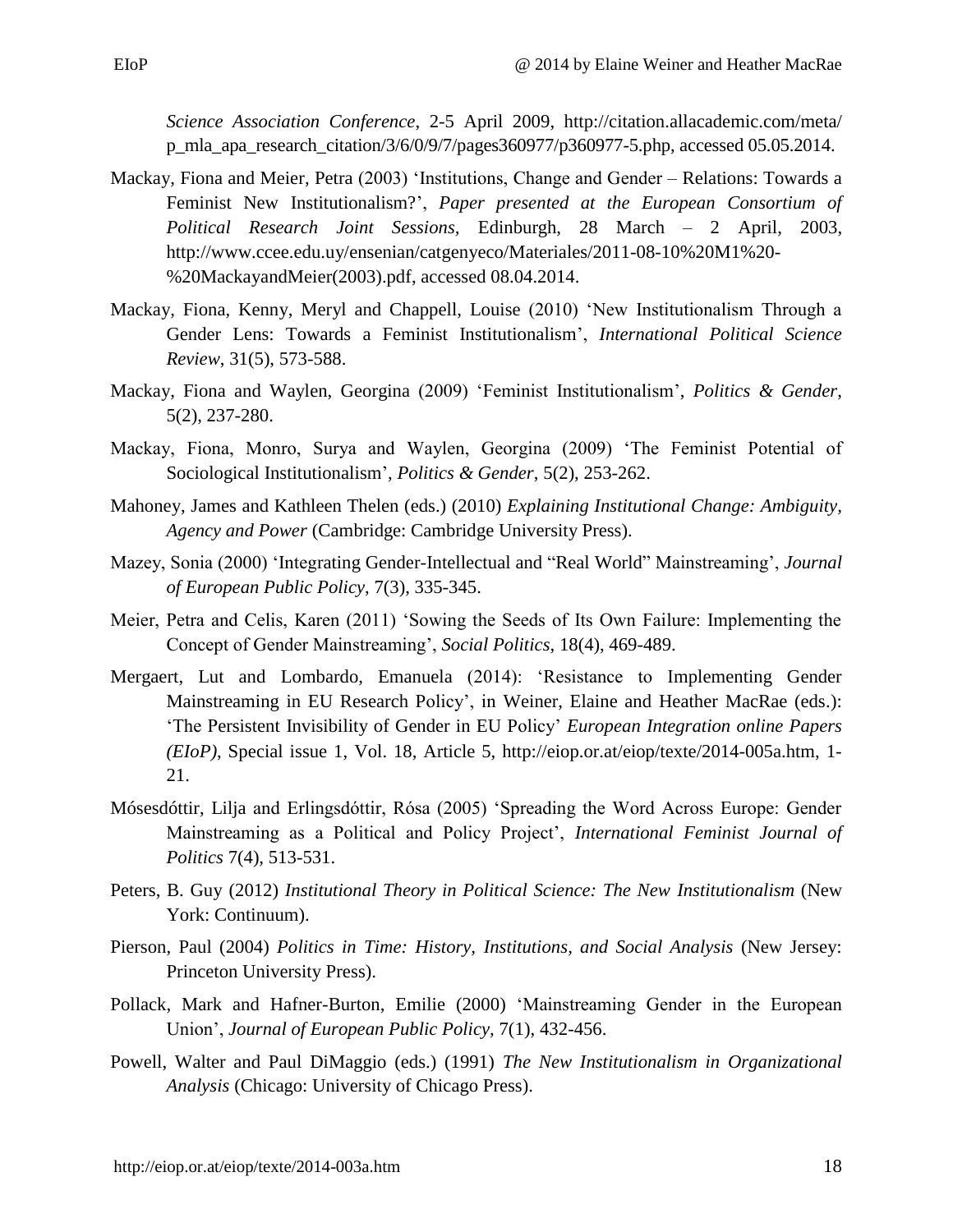*Science Association Conference*, 2-5 April 2009, http://citation.allacademic.com/meta/ [p\\_mla\\_apa\\_research\\_citation/3/6/0/9/7/pages360977/p](http://citation.allacademic.com/meta/p_mla_apa_research_citation/3/6/0/9/7/pages360977/)360977-5.php, accessed 05.05.2014.

- Mackay, Fiona and Meier, Petra (2003) 'Institutions, Change and Gender Relations: Towards a Feminist New Institutionalism?', *Paper presented at the European Consortium of Political Research Joint Sessions,* Edinburgh, 28 March – 2 April, 2003, [http://www.ccee.edu.uy/ensenian/catgenyeco/Materiales/2011-08-10%20M1%20-](http://www.ccee.edu.uy/ensenian/catgenyeco/Materiales/2011-08-10%20M1%20-%20MackayandMeier(2003).pdf) [%20MackayandMeier\(2003\).pdf,](http://www.ccee.edu.uy/ensenian/catgenyeco/Materiales/2011-08-10%20M1%20-%20MackayandMeier(2003).pdf) accessed 08.04.2014.
- Mackay, Fiona, Kenny, Meryl and Chappell, Louise (2010) 'New Institutionalism Through a Gender Lens: Towards a Feminist Institutionalism', *International Political Science Review*, 31(5), 573-588.
- Mackay, Fiona and Waylen, Georgina (2009) 'Feminist Institutionalism', *Politics & Gender*, 5(2), 237-280.
- Mackay, Fiona, Monro, Surya and Waylen, Georgina (2009) 'The Feminist Potential of Sociological Institutionalism', *Politics & Gender*, 5(2), 253-262.
- Mahoney, James and Kathleen Thelen (eds.) (2010) *Explaining Institutional Change: Ambiguity, Agency and Power* (Cambridge: Cambridge University Press).
- Mazey, Sonia (2000) 'Integrating Gender-Intellectual and "Real World" Mainstreaming', *Journal of European Public Policy*, 7(3), 335-345.
- Meier, Petra and Celis, Karen (2011) 'Sowing the Seeds of Its Own Failure: Implementing the Concept of Gender Mainstreaming', *Social Politics*, 18(4), 469-489.
- Mergaert, Lut and Lombardo, Emanuela (2014): 'Resistance to Implementing Gender Mainstreaming in EU Research Policy', in Weiner, Elaine and Heather MacRae (eds.): 'The Persistent Invisibility of Gender in EU Policy' *European Integration online Papers (EIoP)*, Special issue 1, Vol. 18, Article 5, http://eiop.or.at/eiop/texte/2014-005a.htm, 1- 21.
- Mósesdóttir, Lilja and Erlingsdóttir, Rósa (2005) 'Spreading the Word Across Europe: Gender Mainstreaming as a Political and Policy Project', *International Feminist Journal of Politics* 7(4), 513-531.
- Peters, B. Guy (2012) *Institutional Theory in Political Science: The New Institutionalism* (New York: Continuum).
- Pierson, Paul (2004) *Politics in Time: History, Institutions, and Social Analysis* (New Jersey: Princeton University Press).
- Pollack, Mark and Hafner-Burton, Emilie (2000) 'Mainstreaming Gender in the European Union', *Journal of European Public Policy,* 7(1), 432-456.
- Powell, Walter and Paul DiMaggio (eds.) (1991) *The New Institutionalism in Organizational Analysis* (Chicago: University of Chicago Press).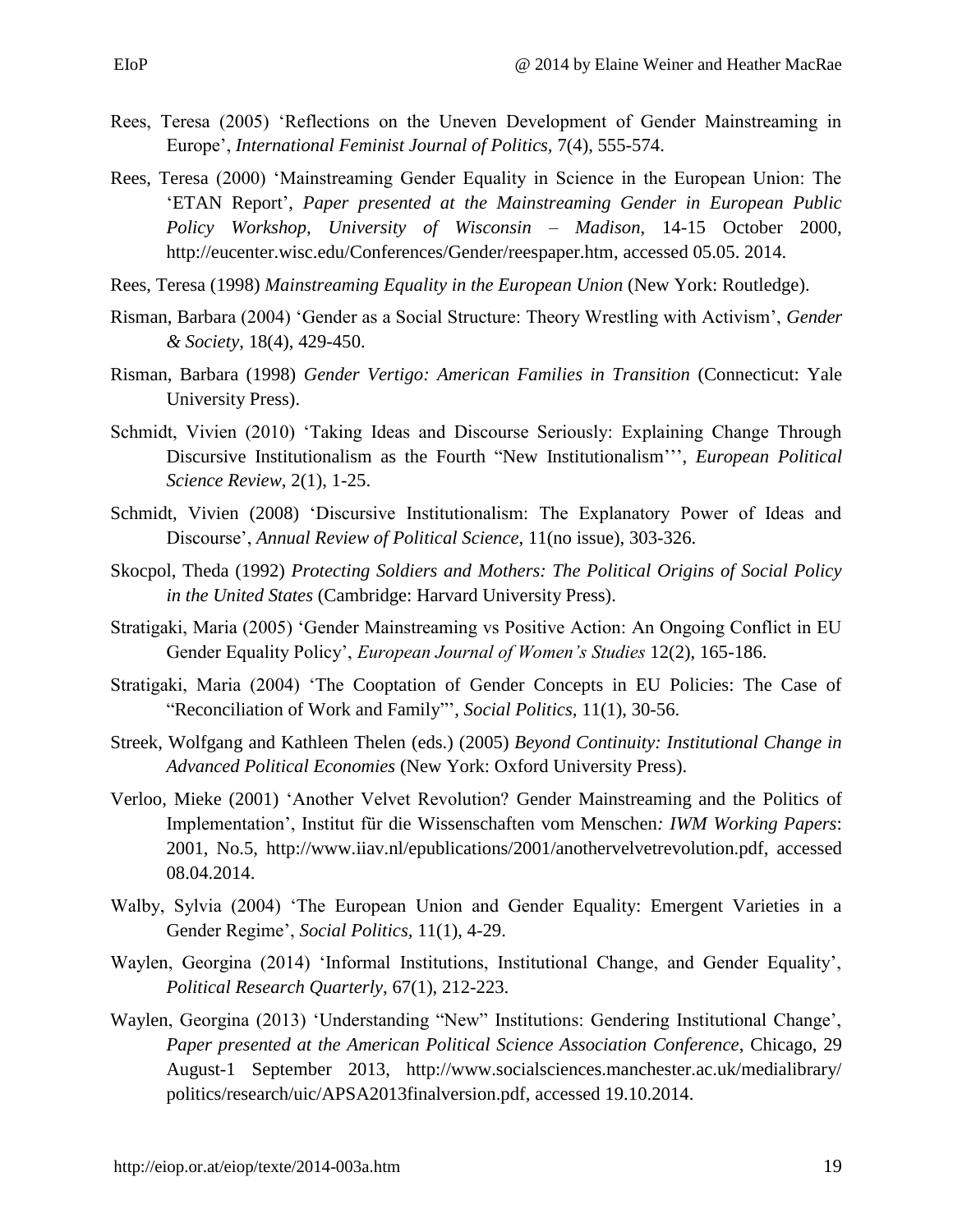- Rees, Teresa (2005) 'Reflections on the Uneven Development of Gender Mainstreaming in Europe', *International Feminist Journal of Politics,* 7(4), 555-574.
- Rees, Teresa (2000) 'Mainstreaming Gender Equality in Science in the European Union: The 'ETAN Report', *Paper presented at the Mainstreaming Gender in European Public Policy Workshop, University of Wisconsin – Madison*, 14-15 October 2000, [http://eucenter.wisc.edu/Conferences/Gender/reespaper.htm,](http://eucenter.wisc.edu/Conferences/Gender/reespaper.htm) accessed 05.05. 2014.
- Rees, Teresa (1998) *Mainstreaming Equality in the European Union* (New York: Routledge).
- Risman, Barbara (2004) 'Gender as a Social Structure: Theory Wrestling with Activism', *Gender & Society*, 18(4), 429-450.
- Risman, Barbara (1998) *Gender Vertigo: American Families in Transition* (Connecticut: Yale University Press).
- Schmidt, Vivien (2010) 'Taking Ideas and Discourse Seriously: Explaining Change Through Discursive Institutionalism as the Fourth "New Institutionalism''', *European Political Science Review*, 2(1), 1-25.
- Schmidt, Vivien (2008) 'Discursive Institutionalism: The Explanatory Power of Ideas and Discourse', *Annual Review of Political Science*, 11(no issue), 303-326.
- Skocpol, Theda (1992) *Protecting Soldiers and Mothers: The Political Origins of Social Policy in the United States* (Cambridge: Harvard University Press).
- Stratigaki, Maria (2005) 'Gender Mainstreaming vs Positive Action: An Ongoing Conflict in EU Gender Equality Policy', *European Journal of Women's Studies* 12(2), 165-186.
- Stratigaki, Maria (2004) 'The Cooptation of Gender Concepts in EU Policies: The Case of "Reconciliation of Work and Family"', *Social Politics,* 11(1), 30-56.
- Streek, Wolfgang and Kathleen Thelen (eds.) (2005) *Beyond Continuity: Institutional Change in Advanced Political Economies* (New York: Oxford University Press).
- Verloo, Mieke (2001) 'Another Velvet Revolution? Gender Mainstreaming and the Politics of Implementation', Institut für die Wissenschaften vom Menschen*: IWM Working Papers*: 2001, No.5, [http://www.iiav.nl/epublications/2001/anothervelvetrevolution.pdf,](http://www.iiav.nl/epublications/2001/anothervelvetrevolution.pdf) accessed 08.04.2014.
- Walby, Sylvia (2004) 'The European Union and Gender Equality: Emergent Varieties in a Gender Regime', *Social Politics,* 11(1), 4-29.
- Waylen, Georgina (2014) 'Informal Institutions, Institutional Change, and Gender Equality', *Political Research Quarterly*, 67(1), 212-223.
- Waylen, Georgina (2013) 'Understanding "New" Institutions: Gendering Institutional Change', *Paper presented at the American Political Science Association Conference*, Chicago, 29 August-1 September 2013, http://www.socialsciences.manchester.ac.uk/medialibrary/ politics/research/uic/APSA2013finalversion.pdf, accessed 19.10.2014.